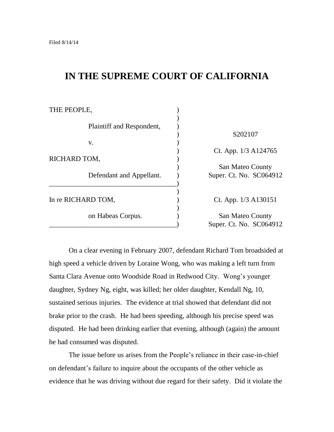# **IN THE SUPREME COURT OF CALIFORNIA**

| THE PEOPLE,               |                         |
|---------------------------|-------------------------|
| Plaintiff and Respondent, |                         |
|                           | S202107                 |
| V.                        |                         |
|                           | Ct. App. 1/3 A124765    |
| RICHARD TOM,              |                         |
|                           | San Mateo County        |
| Defendant and Appellant.  | Super. Ct. No. SC064912 |
|                           |                         |
|                           |                         |
| In re RICHARD TOM,        | Ct. App. 1/3 A130151    |
|                           |                         |
| on Habeas Corpus.         | San Mateo County        |
|                           | Super. Ct. No. SC064912 |

On a clear evening in February 2007, defendant Richard Tom broadsided at high speed a vehicle driven by Loraine Wong, who was making a left turn from Santa Clara Avenue onto Woodside Road in Redwood City. Wong's younger daughter, Sydney Ng, eight, was killed; her older daughter, Kendall Ng, 10, sustained serious injuries. The evidence at trial showed that defendant did not brake prior to the crash. He had been speeding, although his precise speed was disputed. He had been drinking earlier that evening, although (again) the amount he had consumed was disputed.

The issue before us arises from the People's reliance in their case-in-chief on defendant's failure to inquire about the occupants of the other vehicle as evidence that he was driving without due regard for their safety. Did it violate the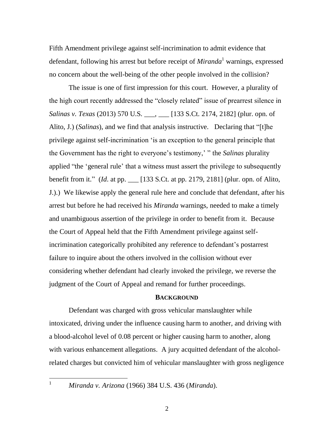Fifth Amendment privilege against self-incrimination to admit evidence that defendant, following his arrest but before receipt of *Miranda*<sup>1</sup> warnings, expressed no concern about the well-being of the other people involved in the collision?

The issue is one of first impression for this court. However, a plurality of the high court recently addressed the "closely related" issue of prearrest silence in *Salinas v. Texas* (2013) 570 U.S. \_\_\_, \_\_\_ [133 S.Ct. 2174, 2182] (plur. opn. of Alito, J.) (*Salinas*), and we find that analysis instructive. Declaring that "[t]he privilege against self-incrimination ‗is an exception to the general principle that the Government has the right to everyone's testimony,' " the *Salinas* plurality applied "the 'general rule' that a witness must assert the privilege to subsequently benefit from it." *(Id.* at pp. \_\_\_ [133 S.Ct. at pp. 2179, 2181] (plur. opn. of Alito, J.).) We likewise apply the general rule here and conclude that defendant, after his arrest but before he had received his *Miranda* warnings, needed to make a timely and unambiguous assertion of the privilege in order to benefit from it. Because the Court of Appeal held that the Fifth Amendment privilege against selfincrimination categorically prohibited any reference to defendant's postarrest failure to inquire about the others involved in the collision without ever considering whether defendant had clearly invoked the privilege, we reverse the judgment of the Court of Appeal and remand for further proceedings.

## **BACKGROUND**

Defendant was charged with gross vehicular manslaughter while intoxicated, driving under the influence causing harm to another, and driving with a blood-alcohol level of 0.08 percent or higher causing harm to another, along with various enhancement allegations. A jury acquitted defendant of the alcoholrelated charges but convicted him of vehicular manslaughter with gross negligence

 $\mathbf{1}$ 

<sup>1</sup> *Miranda v. Arizona* (1966) 384 U.S. 436 (*Miranda*).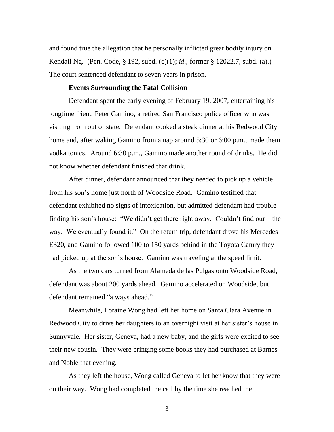and found true the allegation that he personally inflicted great bodily injury on Kendall Ng. (Pen. Code, § 192, subd. (c)(1); *id*., former § 12022.7, subd. (a).) The court sentenced defendant to seven years in prison.

## **Events Surrounding the Fatal Collision**

Defendant spent the early evening of February 19, 2007, entertaining his longtime friend Peter Gamino, a retired San Francisco police officer who was visiting from out of state. Defendant cooked a steak dinner at his Redwood City home and, after waking Gamino from a nap around 5:30 or 6:00 p.m., made them vodka tonics. Around 6:30 p.m., Gamino made another round of drinks. He did not know whether defendant finished that drink.

After dinner, defendant announced that they needed to pick up a vehicle from his son's home just north of Woodside Road. Gamino testified that defendant exhibited no signs of intoxication, but admitted defendant had trouble finding his son's house: "We didn't get there right away. Couldn't find our—the way. We eventually found it." On the return trip, defendant drove his Mercedes E320, and Gamino followed 100 to 150 yards behind in the Toyota Camry they had picked up at the son's house. Gamino was traveling at the speed limit.

As the two cars turned from Alameda de las Pulgas onto Woodside Road, defendant was about 200 yards ahead. Gamino accelerated on Woodside, but defendant remained "a ways ahead."

Meanwhile, Loraine Wong had left her home on Santa Clara Avenue in Redwood City to drive her daughters to an overnight visit at her sister's house in Sunnyvale. Her sister, Geneva, had a new baby, and the girls were excited to see their new cousin. They were bringing some books they had purchased at Barnes and Noble that evening.

As they left the house, Wong called Geneva to let her know that they were on their way. Wong had completed the call by the time she reached the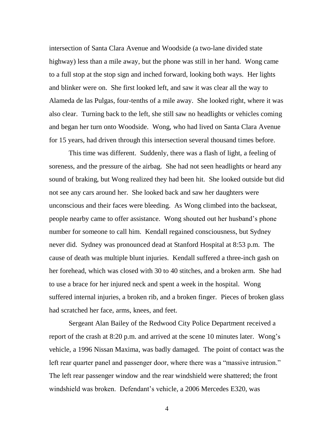intersection of Santa Clara Avenue and Woodside (a two-lane divided state highway) less than a mile away, but the phone was still in her hand. Wong came to a full stop at the stop sign and inched forward, looking both ways. Her lights and blinker were on. She first looked left, and saw it was clear all the way to Alameda de las Pulgas, four-tenths of a mile away. She looked right, where it was also clear. Turning back to the left, she still saw no headlights or vehicles coming and began her turn onto Woodside. Wong, who had lived on Santa Clara Avenue for 15 years, had driven through this intersection several thousand times before.

This time was different. Suddenly, there was a flash of light, a feeling of soreness, and the pressure of the airbag. She had not seen headlights or heard any sound of braking, but Wong realized they had been hit. She looked outside but did not see any cars around her. She looked back and saw her daughters were unconscious and their faces were bleeding. As Wong climbed into the backseat, people nearby came to offer assistance. Wong shouted out her husband's phone number for someone to call him. Kendall regained consciousness, but Sydney never did. Sydney was pronounced dead at Stanford Hospital at 8:53 p.m. The cause of death was multiple blunt injuries. Kendall suffered a three-inch gash on her forehead, which was closed with 30 to 40 stitches, and a broken arm. She had to use a brace for her injured neck and spent a week in the hospital. Wong suffered internal injuries, a broken rib, and a broken finger. Pieces of broken glass had scratched her face, arms, knees, and feet.

Sergeant Alan Bailey of the Redwood City Police Department received a report of the crash at 8:20 p.m. and arrived at the scene 10 minutes later. Wong's vehicle, a 1996 Nissan Maxima, was badly damaged. The point of contact was the left rear quarter panel and passenger door, where there was a "massive intrusion." The left rear passenger window and the rear windshield were shattered; the front windshield was broken. Defendant's vehicle, a 2006 Mercedes E320, was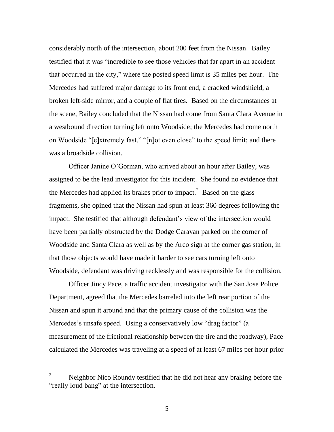considerably north of the intersection, about 200 feet from the Nissan. Bailey testified that it was "incredible to see those vehicles that far apart in an accident that occurred in the city," where the posted speed limit is 35 miles per hour. The Mercedes had suffered major damage to its front end, a cracked windshield, a broken left-side mirror, and a couple of flat tires. Based on the circumstances at the scene, Bailey concluded that the Nissan had come from Santa Clara Avenue in a westbound direction turning left onto Woodside; the Mercedes had come north on Woodside "[e]xtremely fast," "[n]ot even close" to the speed limit; and there was a broadside collision.

Officer Janine O'Gorman, who arrived about an hour after Bailey, was assigned to be the lead investigator for this incident. She found no evidence that the Mercedes had applied its brakes prior to impact.<sup>2</sup> Based on the glass fragments, she opined that the Nissan had spun at least 360 degrees following the impact. She testified that although defendant's view of the intersection would have been partially obstructed by the Dodge Caravan parked on the corner of Woodside and Santa Clara as well as by the Arco sign at the corner gas station, in that those objects would have made it harder to see cars turning left onto Woodside, defendant was driving recklessly and was responsible for the collision.

Officer Jincy Pace, a traffic accident investigator with the San Jose Police Department, agreed that the Mercedes barreled into the left rear portion of the Nissan and spun it around and that the primary cause of the collision was the Mercedes's unsafe speed. Using a conservatively low "drag factor" (a measurement of the frictional relationship between the tire and the roadway), Pace calculated the Mercedes was traveling at a speed of at least 67 miles per hour prior

 $\overline{2}$ Neighbor Nico Roundy testified that he did not hear any braking before the "really loud bang" at the intersection.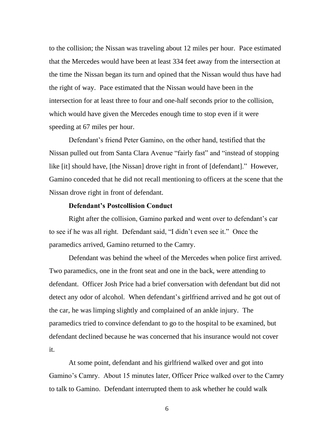to the collision; the Nissan was traveling about 12 miles per hour. Pace estimated that the Mercedes would have been at least 334 feet away from the intersection at the time the Nissan began its turn and opined that the Nissan would thus have had the right of way. Pace estimated that the Nissan would have been in the intersection for at least three to four and one-half seconds prior to the collision, which would have given the Mercedes enough time to stop even if it were speeding at 67 miles per hour.

Defendant's friend Peter Gamino, on the other hand, testified that the Nissan pulled out from Santa Clara Avenue "fairly fast" and "instead of stopping like [it] should have, [the Nissan] drove right in front of [defendant]." However, Gamino conceded that he did not recall mentioning to officers at the scene that the Nissan drove right in front of defendant.

## **Defendant's Postcollision Conduct**

Right after the collision, Gamino parked and went over to defendant's car to see if he was all right. Defendant said, "I didn't even see it." Once the paramedics arrived, Gamino returned to the Camry.

Defendant was behind the wheel of the Mercedes when police first arrived. Two paramedics, one in the front seat and one in the back, were attending to defendant. Officer Josh Price had a brief conversation with defendant but did not detect any odor of alcohol. When defendant's girlfriend arrived and he got out of the car, he was limping slightly and complained of an ankle injury. The paramedics tried to convince defendant to go to the hospital to be examined, but defendant declined because he was concerned that his insurance would not cover it.

At some point, defendant and his girlfriend walked over and got into Gamino's Camry. About 15 minutes later, Officer Price walked over to the Camry to talk to Gamino. Defendant interrupted them to ask whether he could walk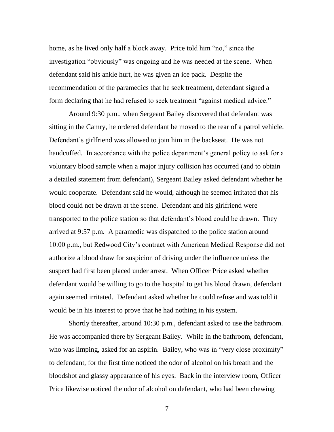home, as he lived only half a block away. Price told him "no," since the investigation "obviously" was ongoing and he was needed at the scene. When defendant said his ankle hurt, he was given an ice pack. Despite the recommendation of the paramedics that he seek treatment, defendant signed a form declaring that he had refused to seek treatment "against medical advice."

Around 9:30 p.m., when Sergeant Bailey discovered that defendant was sitting in the Camry, he ordered defendant be moved to the rear of a patrol vehicle. Defendant's girlfriend was allowed to join him in the backseat. He was not handcuffed. In accordance with the police department's general policy to ask for a voluntary blood sample when a major injury collision has occurred (and to obtain a detailed statement from defendant), Sergeant Bailey asked defendant whether he would cooperate. Defendant said he would, although he seemed irritated that his blood could not be drawn at the scene. Defendant and his girlfriend were transported to the police station so that defendant's blood could be drawn. They arrived at 9:57 p.m. A paramedic was dispatched to the police station around 10:00 p.m., but Redwood City's contract with American Medical Response did not authorize a blood draw for suspicion of driving under the influence unless the suspect had first been placed under arrest. When Officer Price asked whether defendant would be willing to go to the hospital to get his blood drawn, defendant again seemed irritated. Defendant asked whether he could refuse and was told it would be in his interest to prove that he had nothing in his system.

Shortly thereafter, around 10:30 p.m., defendant asked to use the bathroom. He was accompanied there by Sergeant Bailey. While in the bathroom, defendant, who was limping, asked for an aspirin. Bailey, who was in "very close proximity" to defendant, for the first time noticed the odor of alcohol on his breath and the bloodshot and glassy appearance of his eyes. Back in the interview room, Officer Price likewise noticed the odor of alcohol on defendant, who had been chewing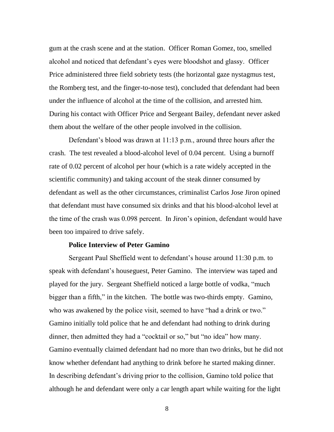gum at the crash scene and at the station. Officer Roman Gomez, too, smelled alcohol and noticed that defendant's eyes were bloodshot and glassy. Officer Price administered three field sobriety tests (the horizontal gaze nystagmus test, the Romberg test, and the finger-to-nose test), concluded that defendant had been under the influence of alcohol at the time of the collision, and arrested him. During his contact with Officer Price and Sergeant Bailey, defendant never asked them about the welfare of the other people involved in the collision.

Defendant's blood was drawn at 11:13 p.m., around three hours after the crash. The test revealed a blood-alcohol level of 0.04 percent. Using a burnoff rate of 0.02 percent of alcohol per hour (which is a rate widely accepted in the scientific community) and taking account of the steak dinner consumed by defendant as well as the other circumstances, criminalist Carlos Jose Jiron opined that defendant must have consumed six drinks and that his blood-alcohol level at the time of the crash was 0.098 percent. In Jiron's opinion, defendant would have been too impaired to drive safely.

## **Police Interview of Peter Gamino**

Sergeant Paul Sheffield went to defendant's house around 11:30 p.m. to speak with defendant's houseguest, Peter Gamino. The interview was taped and played for the jury. Sergeant Sheffield noticed a large bottle of vodka, "much bigger than a fifth," in the kitchen. The bottle was two-thirds empty. Gamino, who was awakened by the police visit, seemed to have "had a drink or two." Gamino initially told police that he and defendant had nothing to drink during dinner, then admitted they had a "cocktail or so," but "no idea" how many. Gamino eventually claimed defendant had no more than two drinks, but he did not know whether defendant had anything to drink before he started making dinner. In describing defendant's driving prior to the collision, Gamino told police that although he and defendant were only a car length apart while waiting for the light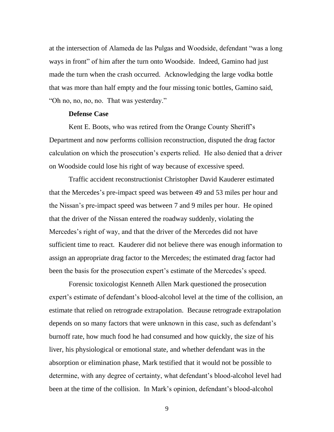at the intersection of Alameda de las Pulgas and Woodside, defendant "was a long" ways in front" of him after the turn onto Woodside. Indeed, Gamino had just made the turn when the crash occurred. Acknowledging the large vodka bottle that was more than half empty and the four missing tonic bottles, Gamino said, "Oh no, no, no, no. That was yesterday."

## **Defense Case**

Kent E. Boots, who was retired from the Orange County Sheriff's Department and now performs collision reconstruction, disputed the drag factor calculation on which the prosecution's experts relied. He also denied that a driver on Woodside could lose his right of way because of excessive speed.

Traffic accident reconstructionist Christopher David Kauderer estimated that the Mercedes's pre-impact speed was between 49 and 53 miles per hour and the Nissan's pre-impact speed was between 7 and 9 miles per hour. He opined that the driver of the Nissan entered the roadway suddenly, violating the Mercedes's right of way, and that the driver of the Mercedes did not have sufficient time to react. Kauderer did not believe there was enough information to assign an appropriate drag factor to the Mercedes; the estimated drag factor had been the basis for the prosecution expert's estimate of the Mercedes's speed.

Forensic toxicologist Kenneth Allen Mark questioned the prosecution expert's estimate of defendant's blood-alcohol level at the time of the collision, an estimate that relied on retrograde extrapolation. Because retrograde extrapolation depends on so many factors that were unknown in this case, such as defendant's burnoff rate, how much food he had consumed and how quickly, the size of his liver, his physiological or emotional state, and whether defendant was in the absorption or elimination phase, Mark testified that it would not be possible to determine, with any degree of certainty, what defendant's blood-alcohol level had been at the time of the collision. In Mark's opinion, defendant's blood-alcohol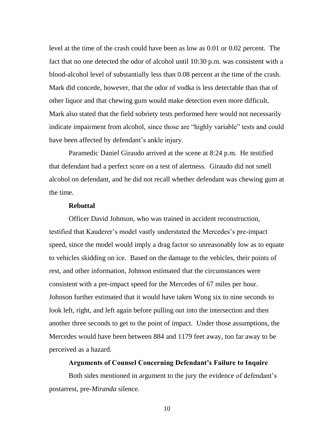level at the time of the crash could have been as low as 0.01 or 0.02 percent. The fact that no one detected the odor of alcohol until 10:30 p.m. was consistent with a blood-alcohol level of substantially less than 0.08 percent at the time of the crash. Mark did concede, however, that the odor of vodka is less detectable than that of other liquor and that chewing gum would make detection even more difficult. Mark also stated that the field sobriety tests performed here would not necessarily indicate impairment from alcohol, since those are "highly variable" tests and could have been affected by defendant's ankle injury.

Paramedic Daniel Giraudo arrived at the scene at 8:24 p.m. He testified that defendant had a perfect score on a test of alertness. Giraudo did not smell alcohol on defendant, and he did not recall whether defendant was chewing gum at the time.

## **Rebuttal**

Officer David Johnson, who was trained in accident reconstruction, testified that Kauderer's model vastly understated the Mercedes's pre-impact speed, since the model would imply a drag factor so unreasonably low as to equate to vehicles skidding on ice. Based on the damage to the vehicles, their points of rest, and other information, Johnson estimated that the circumstances were consistent with a pre-impact speed for the Mercedes of 67 miles per hour. Johnson further estimated that it would have taken Wong six to nine seconds to look left, right, and left again before pulling out into the intersection and then another three seconds to get to the point of impact. Under those assumptions, the Mercedes would have been between 884 and 1179 feet away, too far away to be perceived as a hazard.

## **Arguments of Counsel Concerning Defendant's Failure to Inquire**

Both sides mentioned in argument to the jury the evidence of defendant's postarrest, pre-*Miranda* silence.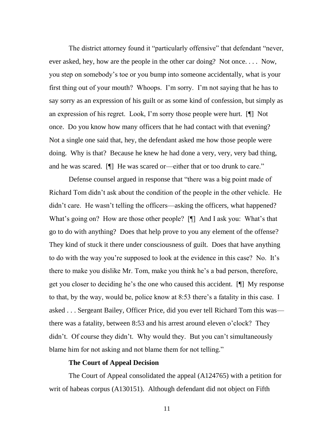The district attorney found it "particularly offensive" that defendant "never, ever asked, hey, how are the people in the other car doing? Not once. . . . Now, you step on somebody's toe or you bump into someone accidentally, what is your first thing out of your mouth? Whoops. I'm sorry. I'm not saying that he has to say sorry as an expression of his guilt or as some kind of confession, but simply as an expression of his regret. Look, I'm sorry those people were hurt. [¶] Not once. Do you know how many officers that he had contact with that evening? Not a single one said that, hey, the defendant asked me how those people were doing. Why is that? Because he knew he had done a very, very, very bad thing, and he was scared. [I] He was scared or—either that or too drunk to care."

Defense counsel argued in response that "there was a big point made of Richard Tom didn't ask about the condition of the people in the other vehicle. He didn't care. He wasn't telling the officers—asking the officers, what happened? What's going on? How are those other people? [¶] And I ask you: What's that go to do with anything? Does that help prove to you any element of the offense? They kind of stuck it there under consciousness of guilt. Does that have anything to do with the way you're supposed to look at the evidence in this case? No. It's there to make you dislike Mr. Tom, make you think he's a bad person, therefore, get you closer to deciding he's the one who caused this accident. [¶] My response to that, by the way, would be, police know at 8:53 there's a fatality in this case. I asked . . . Sergeant Bailey, Officer Price, did you ever tell Richard Tom this was there was a fatality, between 8:53 and his arrest around eleven o'clock? They didn't. Of course they didn't. Why would they. But you can't simultaneously blame him for not asking and not blame them for not telling."

## **The Court of Appeal Decision**

The Court of Appeal consolidated the appeal (A124765) with a petition for writ of habeas corpus (A130151). Although defendant did not object on Fifth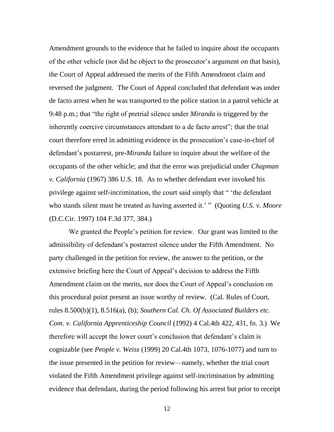Amendment grounds to the evidence that he failed to inquire about the occupants of the other vehicle (nor did he object to the prosecutor's argument on that basis), the Court of Appeal addressed the merits of the Fifth Amendment claim and reversed the judgment. The Court of Appeal concluded that defendant was under de facto arrest when he was transported to the police station in a patrol vehicle at 9:48 p.m.; that "the right of pretrial silence under *Miranda* is triggered by the inherently coercive circumstances attendant to a de facto arrest"; that the trial court therefore erred in admitting evidence in the prosecution's case-in-chief of defendant's postarrest, pre-*Miranda* failure to inquire about the welfare of the occupants of the other vehicle; and that the error was prejudicial under *Chapman v. California* (1967) 386 U.S. 18. As to whether defendant ever invoked his privilege against self-incrimination, the court said simply that "the defendant who stands silent must be treated as having asserted it.' " (Quoting *U.S. v. Moore* (D.C.Cir. 1997) 104 F.3d 377, 384.)

We granted the People's petition for review. Our grant was limited to the admissibility of defendant's postarrest silence under the Fifth Amendment. No party challenged in the petition for review, the answer to the petition, or the extensive briefing here the Court of Appeal's decision to address the Fifth Amendment claim on the merits, nor does the Court of Appeal's conclusion on this procedural point present an issue worthy of review. (Cal. Rules of Court, rules 8.500(b)(1), 8.516(a), (b); *Southern Cal. Ch. Of Associated Builders etc. Com. v. California Apprenticeship Council* (1992) 4 Cal.4th 422, 431, fn. 3.) We therefore will accept the lower court's conclusion that defendant's claim is cognizable (see *People v. Weiss* (1999) 20 Cal.4th 1073, 1076-1077) and turn to the issue presented in the petition for review—namely, whether the trial court violated the Fifth Amendment privilege against self-incrimination by admitting evidence that defendant, during the period following his arrest but prior to receipt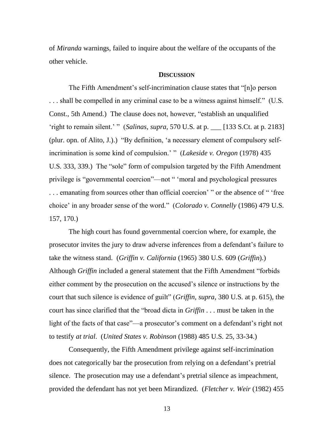of *Miranda* warnings, failed to inquire about the welfare of the occupants of the other vehicle.

### **DISCUSSION**

The Fifth Amendment's self-incrimination clause states that "[n]o person  $\ldots$  shall be compelled in any criminal case to be a witness against himself." (U.S. Const., 5th Amend.) The clause does not, however, "establish an unqualified ‗right to remain silent.' ‖ (*Salinas*, *supra*, 570 U.S. at p. \_\_\_ [133 S.Ct. at p. 2183] (plur. opn. of Alito, J.).)  $\lq$ By definition, 'a necessary element of compulsory selfincrimination is some kind of compulsion.' " (*Lakeside v. Oregon* (1978) 435 U.S. 333, 339.) The "sole" form of compulsion targeted by the Fifth Amendment privilege is "governmental coercion"—not " 'moral and psychological pressures ... emanating from sources other than official coercion' " or the absence of " 'free choice' in any broader sense of the word.‖ (*Colorado v. Connelly* (1986) 479 U.S. 157, 170.)

The high court has found governmental coercion where, for example, the prosecutor invites the jury to draw adverse inferences from a defendant's failure to take the witness stand. (*Griffin v. California* (1965) 380 U.S. 609 (*Griffin*).) Although *Griffin* included a general statement that the Fifth Amendment "forbids" either comment by the prosecution on the accused's silence or instructions by the court that such silence is evidence of guilt" (*Griffin*, *supra*, 380 U.S. at p. 615), the court has since clarified that the "broad dicta in *Griffin* . . . must be taken in the light of the facts of that case"—a prosecutor's comment on a defendant's right not to testify *at trial*. (*United States v. Robinson* (1988) 485 U.S. 25, 33-34.)

Consequently, the Fifth Amendment privilege against self-incrimination does not categorically bar the prosecution from relying on a defendant's pretrial silence. The prosecution may use a defendant's pretrial silence as impeachment, provided the defendant has not yet been Mirandized. (*Fletcher v. Weir* (1982) 455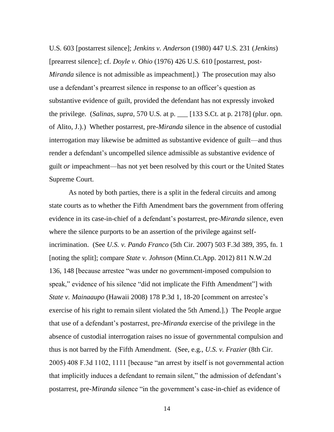U.S. 603 [postarrest silence]; *Jenkins v. Anderson* (1980) 447 U.S. 231 (*Jenkins*) [prearrest silence]; cf. *Doyle v. Ohio* (1976) 426 U.S. 610 [postarrest, post-*Miranda* silence is not admissible as impeachment].) The prosecution may also use a defendant's prearrest silence in response to an officer's question as substantive evidence of guilt, provided the defendant has not expressly invoked the privilege. (*Salinas*, *supra*, 570 U.S. at p. \_\_\_ [133 S.Ct. at p. 2178] (plur. opn. of Alito, J.).) Whether postarrest, pre-*Miranda* silence in the absence of custodial interrogation may likewise be admitted as substantive evidence of guilt—and thus render a defendant's uncompelled silence admissible as substantive evidence of guilt *or* impeachment—has not yet been resolved by this court or the United States Supreme Court.

As noted by both parties, there is a split in the federal circuits and among state courts as to whether the Fifth Amendment bars the government from offering evidence in its case-in-chief of a defendant's postarrest, pre-*Miranda* silence, even where the silence purports to be an assertion of the privilege against selfincrimination. (See *U.S. v. Pando Franco* (5th Cir. 2007) 503 F.3d 389, 395, fn. 1 [noting the split]; compare *State v. Johnson* (Minn.Ct.App. 2012) 811 N.W.2d 136, 148 [because arrestee "was under no government-imposed compulsion to speak," evidence of his silence "did not implicate the Fifth Amendment" with *State v. Mainaaupo* (Hawaii 2008) 178 P.3d 1, 18-20 [comment on arrestee's exercise of his right to remain silent violated the 5th Amend.].) The People argue that use of a defendant's postarrest, pre-*Miranda* exercise of the privilege in the absence of custodial interrogation raises no issue of governmental compulsion and thus is not barred by the Fifth Amendment. (See, e.g., *U.S. v. Frazier* (8th Cir. 2005) 408 F.3d 1102, 1111 [because "an arrest by itself is not governmental action that implicitly induces a defendant to remain silent," the admission of defendant's postarrest, pre-*Miranda* silence "in the government's case-in-chief as evidence of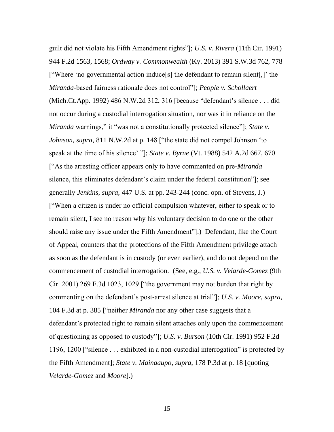guilt did not violate his Fifth Amendment rights‖]; *U.S. v. Rivera* (11th Cir. 1991) 944 F.2d 1563, 1568; *Ordway v. Commonwealth* (Ky. 2013) 391 S.W.3d 762, 778 ["Where 'no governmental action induce[s] the defendant to remain silent[,]' the *Miranda*-based fairness rationale does not control"]; *People v. Schollaert* (Mich.Ct.App. 1992) 486 N.W.2d 312, 316 [because "defendant's silence . . . did not occur during a custodial interrogation situation, nor was it in reliance on the *Miranda* warnings," it "was not a constitutionally protected silence"]; *State v. Johnson, supra,* 811 N.W.2d at p. 148 ["the state did not compel Johnson 'to speak at the time of his silence' ‖]; *State v. Byrne* (Vt. 1988) 542 A.2d 667, 670 ["As the arresting officer appears only to have commented on pre-*Miranda* silence, this eliminates defendant's claim under the federal constitution"]; see generally *Jenkins*, *supra*, 447 U.S. at pp. 243-244 (conc. opn. of Stevens, J.) [―When a citizen is under no official compulsion whatever, either to speak or to remain silent, I see no reason why his voluntary decision to do one or the other should raise any issue under the Fifth Amendment"...) Defendant, like the Court of Appeal, counters that the protections of the Fifth Amendment privilege attach as soon as the defendant is in custody (or even earlier), and do not depend on the commencement of custodial interrogation. (See, e.g., *U.S. v. Velarde-Gomez* (9th Cir. 2001) 269 F.3d 1023, 1029 ["the government may not burden that right by commenting on the defendant's post-arrest silence at trial‖]; *U.S. v. Moore*, *supra*, 104 F.3d at p. 385 ["neither *Miranda* nor any other case suggests that a defendant's protected right to remain silent attaches only upon the commencement of questioning as opposed to custody‖]; *U.S. v. Burson* (10th Cir. 1991) 952 F.2d 1196, 1200 ["silence  $\ldots$  exhibited in a non-custodial interrogation" is protected by the Fifth Amendment]; *State v. Mainaaupo*, *supra*, 178 P.3d at p. 18 [quoting *Velarde-Gomez* and *Moore*].)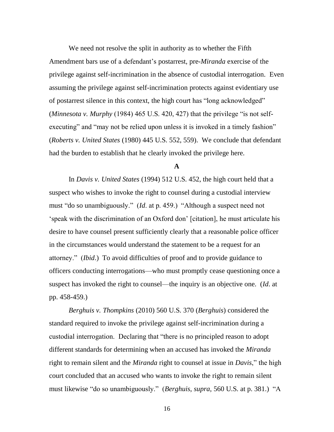We need not resolve the split in authority as to whether the Fifth Amendment bars use of a defendant's postarrest, pre-*Miranda* exercise of the privilege against self-incrimination in the absence of custodial interrogation. Even assuming the privilege against self-incrimination protects against evidentiary use of postarrest silence in this context, the high court has "long acknowledged" (*Minnesota v. Murphy* (1984) 465 U.S. 420, 427) that the privilege "is not selfexecuting" and "may not be relied upon unless it is invoked in a timely fashion" (*Roberts v. United States* (1980) 445 U.S. 552, 559). We conclude that defendant had the burden to establish that he clearly invoked the privilege here.

**A**

In *Davis v. United States* (1994) 512 U.S. 452, the high court held that a suspect who wishes to invoke the right to counsel during a custodial interview must "do so unambiguously." *(Id.* at p. 459.) "Although a suspect need not ‗speak with the discrimination of an Oxford don' [citation], he must articulate his desire to have counsel present sufficiently clearly that a reasonable police officer in the circumstances would understand the statement to be a request for an attorney.‖ (*Ibid*.) To avoid difficulties of proof and to provide guidance to officers conducting interrogations—who must promptly cease questioning once a suspect has invoked the right to counsel—the inquiry is an objective one. (*Id*. at pp. 458-459.)

*Berghuis v. Thompkins* (2010) 560 U.S. 370 (*Berghuis*) considered the standard required to invoke the privilege against self-incrimination during a custodial interrogation. Declaring that "there is no principled reason to adopt different standards for determining when an accused has invoked the *Miranda* right to remain silent and the *Miranda* right to counsel at issue in *Davis*," the high court concluded that an accused who wants to invoke the right to remain silent must likewise "do so unambiguously." (*Berghuis, supra,* 560 U.S. at p. 381.) "A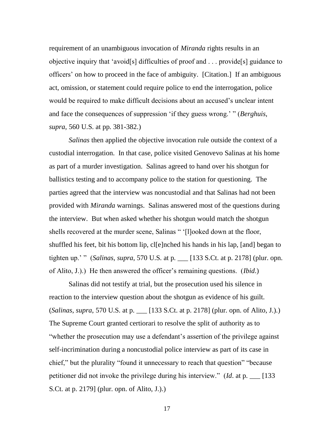requirement of an unambiguous invocation of *Miranda* rights results in an objective inquiry that 'avoid[s] difficulties of proof and  $\ldots$  provide[s] guidance to officers' on how to proceed in the face of ambiguity. [Citation.] If an ambiguous act, omission, or statement could require police to end the interrogation, police would be required to make difficult decisions about an accused's unclear intent and face the consequences of suppression 'if they guess wrong.' " (*Berghuis*, *supra*, 560 U.S. at pp. 381-382.)

*Salinas* then applied the objective invocation rule outside the context of a custodial interrogation. In that case, police visited Genovevo Salinas at his home as part of a murder investigation. Salinas agreed to hand over his shotgun for ballistics testing and to accompany police to the station for questioning. The parties agreed that the interview was noncustodial and that Salinas had not been provided with *Miranda* warnings. Salinas answered most of the questions during the interview. But when asked whether his shotgun would match the shotgun shells recovered at the murder scene, Salinas " '[l]ooked down at the floor, shuffled his feet, bit his bottom lip, cl[e]nched his hands in his lap, [and] began to tighten up.' " (*Salinas*, *supra*, 570 U.S. at p. \_\_ [133 S.Ct. at p. 2178] (plur. opn. of Alito, J.).) He then answered the officer's remaining questions. (*Ibid*.)

Salinas did not testify at trial, but the prosecution used his silence in reaction to the interview question about the shotgun as evidence of his guilt. (*Salinas*, *supra*, 570 U.S. at p. \_\_\_ [133 S.Ct. at p. 2178] (plur. opn. of Alito, J.).) The Supreme Court granted certiorari to resolve the split of authority as to "whether the prosecution may use a defendant's assertion of the privilege against self-incrimination during a noncustodial police interview as part of its case in chief," but the plurality "found it unnecessary to reach that question" "because petitioner did not invoke the privilege during his interview.‖ (*Id*. at p. \_\_\_ [133 S.Ct. at p. 2179] (plur. opn. of Alito, J.).)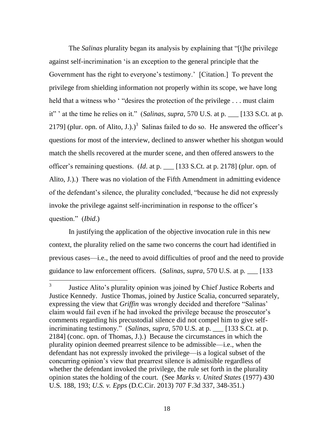The *Salinas* plurality began its analysis by explaining that "[t]he privilege against self-incrimination 'is an exception to the general principle that the Government has the right to everyone's testimony.' [Citation.] To prevent the privilege from shielding information not properly within its scope, we have long held that a witness who  $\cdot$  "desires the protection of the privilege . . . must claim it" ' at the time he relies on it." (*Salinas*, *supra*, 570 U.S. at p. \_\_ [133 S.Ct. at p. 2179] (plur. opn. of Alito, J.).)<sup>3</sup> Salinas failed to do so. He answered the officer's questions for most of the interview, declined to answer whether his shotgun would match the shells recovered at the murder scene, and then offered answers to the officer's remaining questions. (*Id*. at p. \_\_\_ [133 S.Ct. at p. 2178] (plur. opn. of Alito, J.).) There was no violation of the Fifth Amendment in admitting evidence of the defendant's silence, the plurality concluded, "because he did not expressly invoke the privilege against self-incrimination in response to the officer's question." *(Ibid.)* 

In justifying the application of the objective invocation rule in this new context, the plurality relied on the same two concerns the court had identified in previous cases—i.e., the need to avoid difficulties of proof and the need to provide guidance to law enforcement officers. (*Salinas*, *supra*, 570 U.S. at p. \_\_\_ [133

 3 Justice Alito's plurality opinion was joined by Chief Justice Roberts and Justice Kennedy. Justice Thomas, joined by Justice Scalia, concurred separately, expressing the view that *Griffin* was wrongly decided and therefore "Salinas" claim would fail even if he had invoked the privilege because the prosecutor's comments regarding his precustodial silence did not compel him to give selfincriminating testimony." (*Salinas*, *supra*, 570 U.S. at p. \_\_\_ [133 S.Ct. at p. 2184] (conc. opn. of Thomas, J.).) Because the circumstances in which the plurality opinion deemed prearrest silence to be admissible—i.e., when the defendant has not expressly invoked the privilege—is a logical subset of the concurring opinion's view that prearrest silence is admissible regardless of whether the defendant invoked the privilege, the rule set forth in the plurality opinion states the holding of the court. (See *Marks v. United States* (1977) 430 U.S. 188, 193; *U.S. v. Epps* (D.C.Cir. 2013) 707 F.3d 337, 348-351.)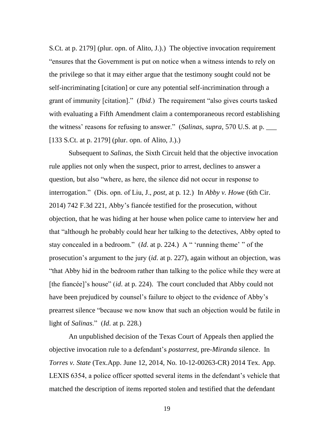S.Ct. at p. 2179] (plur. opn. of Alito, J.).) The objective invocation requirement "ensures that the Government is put on notice when a witness intends to rely on the privilege so that it may either argue that the testimony sought could not be self-incriminating [citation] or cure any potential self-incrimination through a grant of immunity [citation]." *(Ibid.)* The requirement "also gives courts tasked with evaluating a Fifth Amendment claim a contemporaneous record establishing the witness' reasons for refusing to answer." (*Salinas*, *supra*, 570 U.S. at p. [133 S.Ct. at p. 2179] (plur. opn. of Alito, J.).)

Subsequent to *Salinas*, the Sixth Circuit held that the objective invocation rule applies not only when the suspect, prior to arrest, declines to answer a question, but also "where, as here, the silence did not occur in response to interrogation.‖ (Dis. opn. of Liu, J., *post*, at p. 12.) In *Abby v. Howe* (6th Cir. 2014) 742 F.3d 221, Abby's fiancée testified for the prosecution, without objection, that he was hiding at her house when police came to interview her and that "although he probably could hear her talking to the detectives, Abby opted to stay concealed in a bedroom." (*Id.* at p. 224.) A " 'running theme' " of the prosecution's argument to the jury (*id*. at p. 227), again without an objection, was ―that Abby hid in the bedroom rather than talking to the police while they were at [the fiancée]'s house" (*id.* at p. 224). The court concluded that Abby could not have been prejudiced by counsel's failure to object to the evidence of Abby's prearrest silence "because we now know that such an objection would be futile in light of *Salinas*.‖ (*Id*. at p. 228.)

An unpublished decision of the Texas Court of Appeals then applied the objective invocation rule to a defendant's *postarrest*, pre-*Miranda* silence. In *Torres v. State* (Tex.App. June 12, 2014, No. 10-12-00263-CR) 2014 Tex. App. LEXIS 6354, a police officer spotted several items in the defendant's vehicle that matched the description of items reported stolen and testified that the defendant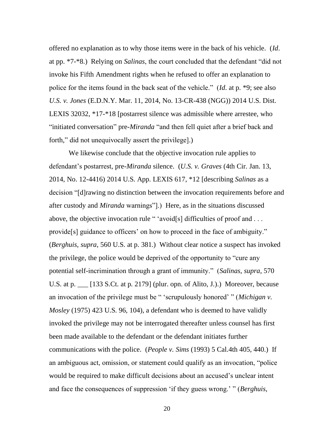offered no explanation as to why those items were in the back of his vehicle. (*Id*. at pp. \*7-\*8.) Relying on *Salinas*, the court concluded that the defendant "did not invoke his Fifth Amendment rights when he refused to offer an explanation to police for the items found in the back seat of the vehicle." (*Id.* at p. \*9; see also *U.S. v. Jones* (E.D.N.Y. Mar. 11, 2014, No. 13-CR-438 (NGG)) 2014 U.S. Dist. LEXIS 32032, \*17-\*18 [postarrest silence was admissible where arrestee, who "initiated conversation" pre-*Miranda* "and then fell quiet after a brief back and forth," did not unequivocally assert the privilege].)

We likewise conclude that the objective invocation rule applies to defendant's postarrest, pre-*Miranda* silence. (*U.S. v. Graves* (4th Cir. Jan. 13, 2014, No. 12-4416) 2014 U.S. App. LEXIS 617, \*12 [describing *Salinas* as a decision "[d]rawing no distinction between the invocation requirements before and after custody and *Miranda* warnings"...) Here, as in the situations discussed above, the objective invocation rule " 'avoid[s] difficulties of proof and  $\dots$ provide<sup>[s]</sup> guidance to officers' on how to proceed in the face of ambiguity." (*Berghuis*, *supra*, 560 U.S. at p. 381.) Without clear notice a suspect has invoked the privilege, the police would be deprived of the opportunity to "cure any potential self-incrimination through a grant of immunity.‖ (*Salinas*, *supra*, 570 U.S. at p. \_\_\_ [133 S.Ct. at p. 2179] (plur. opn. of Alito, J.).) Moreover, because an invocation of the privilege must be " 'scrupulously honored' " (*Michigan v. Mosley* (1975) 423 U.S. 96, 104), a defendant who is deemed to have validly invoked the privilege may not be interrogated thereafter unless counsel has first been made available to the defendant or the defendant initiates further communications with the police. (*People v. Sims* (1993) 5 Cal.4th 405, 440.) If an ambiguous act, omission, or statement could qualify as an invocation, "police would be required to make difficult decisions about an accused's unclear intent and face the consequences of suppression 'if they guess wrong.' " *(Berghuis,*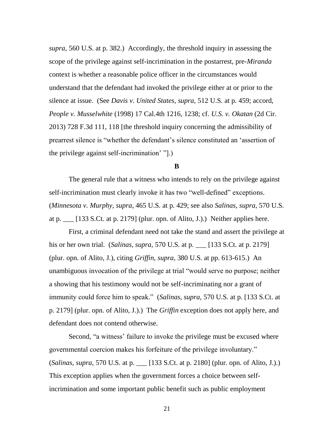*supra*, 560 U.S. at p. 382.) Accordingly, the threshold inquiry in assessing the scope of the privilege against self-incrimination in the postarrest, pre-*Miranda* context is whether a reasonable police officer in the circumstances would understand that the defendant had invoked the privilege either at or prior to the silence at issue. (See *Davis v. United States*, *supra*, 512 U.S. at p. 459; accord, *People v. Musselwhite* (1998) 17 Cal.4th 1216, 1238; cf. *U.S. v. Okatan* (2d Cir. 2013) 728 F.3d 111, 118 [the threshold inquiry concerning the admissibility of prearrest silence is "whether the defendant's silence constituted an 'assertion of the privilege against self-incrimination' "[.].

## **B**

The general rule that a witness who intends to rely on the privilege against self-incrimination must clearly invoke it has two "well-defined" exceptions. (*Minnesota v. Murphy*, *supra*, 465 U.S. at p. 429; see also *Salinas*, *supra*, 570 U.S. at p.  $\lfloor$  [133 S.Ct. at p. 2179] (plur. opn. of Alito, J.).) Neither applies here.

First, a criminal defendant need not take the stand and assert the privilege at his or her own trial. (*Salinas*, *supra*, 570 U.S. at p. \_\_\_ [133 S.Ct. at p. 2179] (plur. opn. of Alito, J.), citing *Griffin*, *supra*, 380 U.S. at pp. 613-615.) An unambiguous invocation of the privilege at trial "would serve no purpose; neither a showing that his testimony would not be self-incriminating nor a grant of immunity could force him to speak." (*Salinas, supra,* 570 U.S. at p. [133 S.Ct. at p. 2179] (plur. opn. of Alito, J.).) The *Griffin* exception does not apply here, and defendant does not contend otherwise.

Second, "a witness' failure to invoke the privilege must be excused where governmental coercion makes his forfeiture of the privilege involuntary." (*Salinas*, *supra*, 570 U.S. at p. \_\_\_ [133 S.Ct. at p. 2180] (plur. opn. of Alito, J.).) This exception applies when the government forces a choice between selfincrimination and some important public benefit such as public employment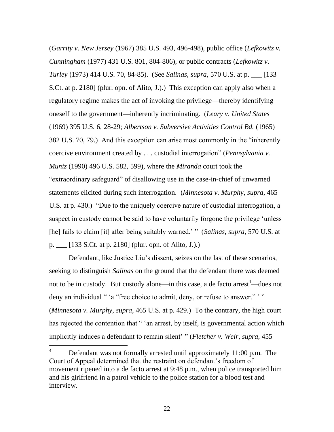(*Garrity v. New Jersey* (1967) 385 U.S. 493, 496-498), public office (*Lefkowitz v. Cunningham* (1977) 431 U.S. 801, 804-806), or public contracts (*Lefkowitz v. Turley* (1973) 414 U.S. 70, 84-85). (See *Salinas*, *supra*, 570 U.S. at p. \_\_\_ [133 S.Ct. at p. 2180] (plur. opn. of Alito, J.).) This exception can apply also when a regulatory regime makes the act of invoking the privilege—thereby identifying oneself to the government—inherently incriminating. (*Leary v. United States* (1969) 395 U.S. 6, 28-29; *Albertson v. Subversive Activities Control Bd.* (1965) 382 U.S. 70, 79.) And this exception can arise most commonly in the "inherently" coercive environment created by . . . custodial interrogation" (*Pennsylvania v. Muniz* (1990) 496 U.S. 582, 599), where the *Miranda* court took the "extraordinary safeguard" of disallowing use in the case-in-chief of unwarned statements elicited during such interrogation. (*Minnesota v. Murphy*, *supra*, 465 U.S. at p. 430.) 
"Due to the uniquely coercive nature of custodial interrogation, a suspect in custody cannot be said to have voluntarily forgone the privilege 'unless' [he] fails to claim [it] after being suitably warned.' " (*Salinas*, *supra*, 570 U.S. at p. \_\_\_ [133 S.Ct. at p. 2180] (plur. opn. of Alito, J.).)

Defendant, like Justice Liu's dissent, seizes on the last of these scenarios, seeking to distinguish *Salinas* on the ground that the defendant there was deemed not to be in custody. But custody alone—in this case, a de facto  $arrest<sup>4</sup>$ —does not deny an individual " 'a "free choice to admit, deny, or refuse to answer." " (*Minnesota v. Murphy*, *supra*, 465 U.S. at p. 429.) To the contrary, the high court has rejected the contention that " 'an arrest, by itself, is governmental action which implicitly induces a defendant to remain silent' " (*Fletcher v. Weir*, *supra*, 455

 $\overline{4}$ Defendant was not formally arrested until approximately 11:00 p.m. The Court of Appeal determined that the restraint on defendant's freedom of movement ripened into a de facto arrest at 9:48 p.m., when police transported him and his girlfriend in a patrol vehicle to the police station for a blood test and interview.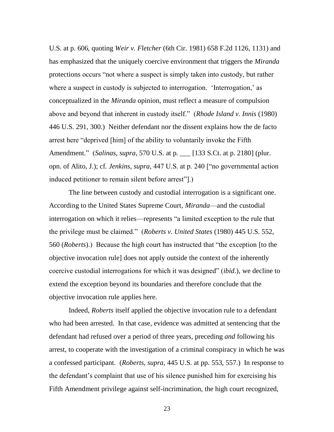U.S. at p. 606, quoting *Weir v. Fletcher* (6th Cir. 1981) 658 F.2d 1126, 1131) and has emphasized that the uniquely coercive environment that triggers the *Miranda* protections occurs "not where a suspect is simply taken into custody, but rather where a suspect in custody is subjected to interrogation. 'Interrogation,' as conceptualized in the *Miranda* opinion, must reflect a measure of compulsion above and beyond that inherent in custody itself." (*Rhode Island v. Innis* (1980) 446 U.S. 291, 300.) Neither defendant nor the dissent explains how the de facto arrest here "deprived [him] of the ability to voluntarily invoke the Fifth Amendment.‖ (*Salinas*, *supra*, 570 U.S. at p. \_\_\_ [133 S.Ct. at p. 2180] (plur. opn. of Alito, J.); cf. *Jenkins*, *supra*, 447 U.S. at p. 240 ["no governmental action induced petitioner to remain silent before arrest"...

The line between custody and custodial interrogation is a significant one. According to the United States Supreme Court, *Miranda*—and the custodial interrogation on which it relies—represents "a limited exception to the rule that the privilege must be claimed.‖ (*Roberts v. United States* (1980) 445 U.S. 552, 560 (*Roberts*).) Because the high court has instructed that "the exception [to the objective invocation rule] does not apply outside the context of the inherently coercive custodial interrogations for which it was designed‖ (*ibid*.), we decline to extend the exception beyond its boundaries and therefore conclude that the objective invocation rule applies here.

Indeed, *Roberts* itself applied the objective invocation rule to a defendant who had been arrested. In that case, evidence was admitted at sentencing that the defendant had refused over a period of three years, preceding *and* following his arrest, to cooperate with the investigation of a criminal conspiracy in which he was a confessed participant. (*Roberts*, *supra*, 445 U.S. at pp. 553, 557.) In response to the defendant's complaint that use of his silence punished him for exercising his Fifth Amendment privilege against self-incrimination, the high court recognized,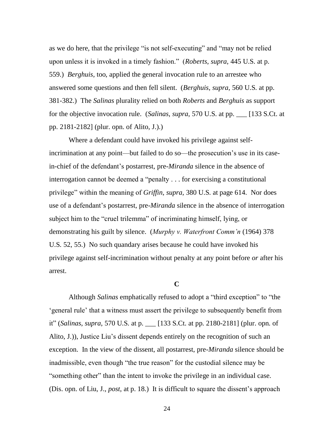as we do here, that the privilege "is not self-executing" and "may not be relied upon unless it is invoked in a timely fashion.‖ (*Roberts*, *supra*, 445 U.S. at p. 559.) *Berghuis*, too, applied the general invocation rule to an arrestee who answered some questions and then fell silent. (*Berghuis*, *supra*, 560 U.S. at pp. 381-382.) The *Salinas* plurality relied on both *Roberts* and *Berghuis* as support for the objective invocation rule. (*Salinas*, *supra*, 570 U.S. at pp. \_\_\_ [133 S.Ct. at pp. 2181-2182] (plur. opn. of Alito, J.).)

Where a defendant could have invoked his privilege against selfincrimination at any point—but failed to do so—the prosecution's use in its casein-chief of the defendant's postarrest, pre-*Miranda* silence in the absence of interrogation cannot be deemed a "penalty  $\ldots$  for exercising a constitutional privilege‖ within the meaning of *Griffin*, *supra*, 380 U.S. at page 614. Nor does use of a defendant's postarrest, pre-*Miranda* silence in the absence of interrogation subject him to the "cruel trilemma" of incriminating himself, lying, or demonstrating his guilt by silence. (*Murphy v. Waterfront Comm'n* (1964) 378 U.S. 52, 55.) No such quandary arises because he could have invoked his privilege against self-incrimination without penalty at any point before *or* after his arrest.

## **C**

Although *Salinas* emphatically refused to adopt a "third exception" to "the ‗general rule' that a witness must assert the privilege to subsequently benefit from it‖ (*Salinas*, *supra*, 570 U.S. at p. \_\_\_ [133 S.Ct. at pp. 2180-2181] (plur. opn. of Alito, J.)), Justice Liu's dissent depends entirely on the recognition of such an exception. In the view of the dissent, all postarrest, pre-*Miranda* silence should be inadmissible, even though "the true reason" for the custodial silence may be "something other" than the intent to invoke the privilege in an individual case. (Dis. opn. of Liu, J., *post*, at p. 18.) It is difficult to square the dissent's approach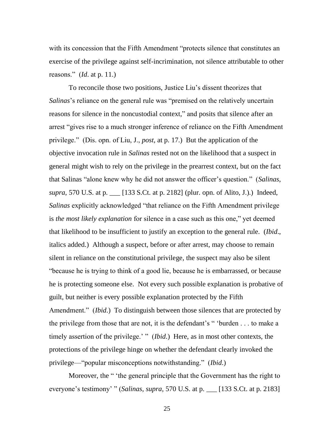with its concession that the Fifth Amendment "protects silence that constitutes an exercise of the privilege against self-incrimination, not silence attributable to other reasons.‖ (*Id*. at p. 11.)

To reconcile those two positions, Justice Liu's dissent theorizes that *Salinas*'s reliance on the general rule was "premised on the relatively uncertain reasons for silence in the noncustodial context," and posits that silence after an arrest "gives rise to a much stronger inference of reliance on the Fifth Amendment privilege.‖ (Dis. opn. of Liu, J., *post*, at p. 17.) But the application of the objective invocation rule in *Salinas* rested not on the likelihood that a suspect in general might wish to rely on the privilege in the prearrest context, but on the fact that Salinas "alone knew why he did not answer the officer's question." (*Salinas*, *supra*, 570 U.S. at p. \_\_\_ [133 S.Ct. at p. 2182] (plur. opn. of Alito, J.).) Indeed, *Salinas* explicitly acknowledged "that reliance on the Fifth Amendment privilege is *the most likely explanation* for silence in a case such as this one," yet deemed that likelihood to be insufficient to justify an exception to the general rule. (*Ibid*., italics added.) Although a suspect, before or after arrest, may choose to remain silent in reliance on the constitutional privilege, the suspect may also be silent ―because he is trying to think of a good lie, because he is embarrassed, or because he is protecting someone else. Not every such possible explanation is probative of guilt, but neither is every possible explanation protected by the Fifth Amendment." *(Ibid.)* To distinguish between those silences that are protected by the privilege from those that are not, it is the defendant's  $\degree$  burden . . . to make a timely assertion of the privilege.' " (*Ibid*.) Here, as in most other contexts, the protections of the privilege hinge on whether the defendant clearly invoked the privilege—"popular misconceptions notwithstanding." (*Ibid.*)

Moreover, the "'the general principle that the Government has the right to everyone's testimony' " (*Salinas*, *supra*, 570 U.S. at p. \_\_ [133 S.Ct. at p. 2183]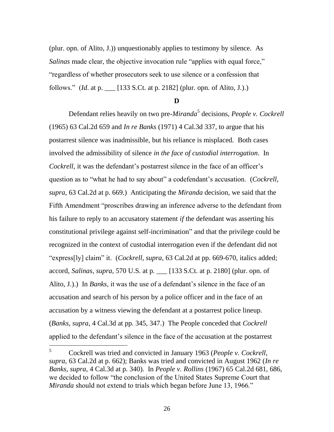(plur. opn. of Alito, J.)) unquestionably applies to testimony by silence. As *Salinas* made clear, the objective invocation rule "applies with equal force," ―regardless of whether prosecutors seek to use silence or a confession that follows.‖ (*Id*. at p. \_\_\_ [133 S.Ct. at p. 2182] (plur. opn. of Alito, J.).)

### **D**

Defendant relies heavily on two pre-*Miranda*<sup>5</sup> decisions, *People v. Cockrell* (1965) 63 Cal.2d 659 and *In re Banks* (1971) 4 Cal.3d 337, to argue that his postarrest silence was inadmissible, but his reliance is misplaced. Both cases involved the admissibility of silence *in the face of custodial interrogation*. In *Cockrell*, it was the defendant's postarrest silence in the face of an officer's question as to "what he had to say about" a codefendant's accusation. (*Cockrell*, *supra*, 63 Cal.2d at p. 669.) Anticipating the *Miranda* decision, we said that the Fifth Amendment "proscribes drawing an inference adverse to the defendant from his failure to reply to an accusatory statement *if* the defendant was asserting his constitutional privilege against self-incrimination" and that the privilege could be recognized in the context of custodial interrogation even if the defendant did not "express[ly] claim" it. (*Cockrell*, *supra*, 63 Cal.2d at pp. 669-670, italics added; accord, *Salinas*, *supra*, 570 U.S. at p. \_\_\_ [133 S.Ct. at p. 2180] (plur. opn. of Alito, J.).) In *Banks*, it was the use of a defendant's silence in the face of an accusation and search of his person by a police officer and in the face of an accusation by a witness viewing the defendant at a postarrest police lineup. (*Banks*, *supra*, 4 Cal.3d at pp. 345, 347.) The People conceded that *Cockrell* applied to the defendant's silence in the face of the accusation at the postarrest

<sup>5</sup> <sup>5</sup> Cockrell was tried and convicted in January 1963 (*People v. Cockrell*, *supra*, 63 Cal.2d at p. 662); Banks was tried and convicted in August 1962 (*In re Banks*, *supra*, 4 Cal.3d at p. 340). In *People v. Rollins* (1967) 65 Cal.2d 681, 686, we decided to follow "the conclusion of the United States Supreme Court that *Miranda* should not extend to trials which began before June 13, 1966."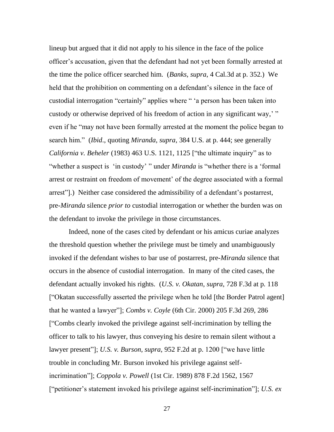lineup but argued that it did not apply to his silence in the face of the police officer's accusation, given that the defendant had not yet been formally arrested at the time the police officer searched him. (*Banks*, *supra*, 4 Cal.3d at p. 352.) We held that the prohibition on commenting on a defendant's silence in the face of custodial interrogation "certainly" applies where " 'a person has been taken into custody or otherwise deprived of his freedom of action in any significant way,'" even if he "may not have been formally arrested at the moment the police began to search him.‖ (*Ibid*., quoting *Miranda*, *supra*, 384 U.S. at p. 444; see generally *California v. Beheler* (1983) 463 U.S. 1121, 1125 ["the ultimate inquiry" as to "whether a suspect is 'in custody' " under *Miranda* is "whether there is a 'formal arrest or restraint on freedom of movement' of the degree associated with a formal arrest"].) Neither case considered the admissibility of a defendant's postarrest, pre-*Miranda* silence *prior to* custodial interrogation or whether the burden was on the defendant to invoke the privilege in those circumstances.

Indeed, none of the cases cited by defendant or his amicus curiae analyzes the threshold question whether the privilege must be timely and unambiguously invoked if the defendant wishes to bar use of postarrest, pre-*Miranda* silence that occurs in the absence of custodial interrogation. In many of the cited cases, the defendant actually invoked his rights. (*U.S. v. Okatan*, *supra*, 728 F.3d at p. 118 ["Okatan successfully asserted the privilege when he told [the Border Patrol agent] that he wanted a lawyer‖]; *Combs v. Coyle* (6th Cir. 2000) 205 F.3d 269, 286 [―Combs clearly invoked the privilege against self-incrimination by telling the officer to talk to his lawyer, thus conveying his desire to remain silent without a lawyer present"]; *U.S. v. Burson, supra,* 952 F.2d at p. 1200 ["we have little trouble in concluding Mr. Burson invoked his privilege against selfincrimination‖]; *Coppola v. Powell* (1st Cir. 1989) 878 F.2d 1562, 1567 [―petitioner's statement invoked his privilege against self-incrimination‖]; *U.S. ex*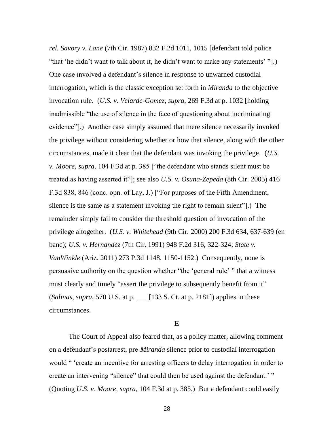*rel. Savory v. Lane* (7th Cir. 1987) 832 F.2d 1011, 1015 [defendant told police "that 'he didn't want to talk about it, he didn't want to make any statements' "[.) One case involved a defendant's silence in response to unwarned custodial interrogation, which is the classic exception set forth in *Miranda* to the objective invocation rule. (*U.S. v. Velarde-Gomez*, *supra*, 269 F.3d at p. 1032 [holding inadmissible "the use of silence in the face of questioning about incriminating evidence"].) Another case simply assumed that mere silence necessarily invoked the privilege without considering whether or how that silence, along with the other circumstances, made it clear that the defendant was invoking the privilege. (*U.S. v. Moore, supra,* 104 F.3d at p. 385 ["the defendant who stands silent must be treated as having asserted it"]; see also *U.S. v. Osuna-Zepeda* (8th Cir. 2005) 416 F.3d 838, 846 (conc. opn. of Lay, J.) ["For purposes of the Fifth Amendment, silence is the same as a statement invoking the right to remain silent"...) The remainder simply fail to consider the threshold question of invocation of the privilege altogether. (*U.S. v. Whitehead* (9th Cir. 2000) 200 F.3d 634, 637-639 (en banc); *U.S. v. Hernandez* (7th Cir. 1991) 948 F.2d 316, 322-324; *State v. VanWinkle* (Ariz. 2011) 273 P.3d 1148, 1150-1152.) Consequently, none is persuasive authority on the question whether "the 'general rule' " that a witness must clearly and timely "assert the privilege to subsequently benefit from it" (*Salinas*, *supra*, 570 U.S. at p. \_\_\_ [133 S. Ct. at p. 2181]) applies in these circumstances.

### **E**

The Court of Appeal also feared that, as a policy matter, allowing comment on a defendant's postarrest, pre-*Miranda* silence prior to custodial interrogation would " 'create an incentive for arresting officers to delay interrogation in order to create an intervening "silence" that could then be used against the defendant.' " (Quoting *U.S. v. Moore*, *supra*, 104 F.3d at p. 385.) But a defendant could easily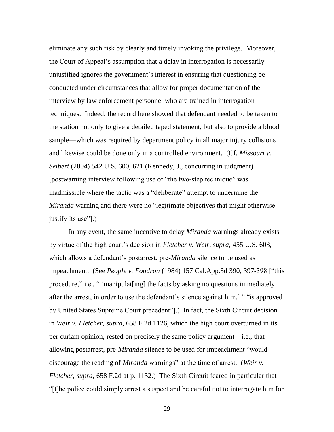eliminate any such risk by clearly and timely invoking the privilege. Moreover, the Court of Appeal's assumption that a delay in interrogation is necessarily unjustified ignores the government's interest in ensuring that questioning be conducted under circumstances that allow for proper documentation of the interview by law enforcement personnel who are trained in interrogation techniques. Indeed, the record here showed that defendant needed to be taken to the station not only to give a detailed taped statement, but also to provide a blood sample—which was required by department policy in all major injury collisions and likewise could be done only in a controlled environment. (Cf. *Missouri v. Seibert* (2004) 542 U.S. 600, 621 (Kennedy, J., concurring in judgment) [postwarning interview following use of "the two-step technique" was inadmissible where the tactic was a "deliberate" attempt to undermine the *Miranda* warning and there were no "legitimate objectives that might otherwise justify its use".)

In any event, the same incentive to delay *Miranda* warnings already exists by virtue of the high court's decision in *Fletcher v. Weir*, *supra*, 455 U.S. 603, which allows a defendant's postarrest, pre-*Miranda* silence to be used as impeachment. (See *People v. Fondron* (1984) 157 Cal.App.3d 390, 397-398 ["this procedure," i.e., " 'manipulat [ing] the facts by asking no questions immediately after the arrest, in order to use the defendant's silence against him, ""is approved by United States Supreme Court precedent"...) In fact, the Sixth Circuit decision in *Weir v. Fletcher*, *supra*, 658 F.2d 1126, which the high court overturned in its per curiam opinion, rested on precisely the same policy argument—i.e., that allowing postarrest, pre-*Miranda* silence to be used for impeachment "would discourage the reading of *Miranda* warnings" at the time of arrest. (*Weir v. Fletcher*, *supra*, 658 F.2d at p. 1132.) The Sixth Circuit feared in particular that ―[t]he police could simply arrest a suspect and be careful not to interrogate him for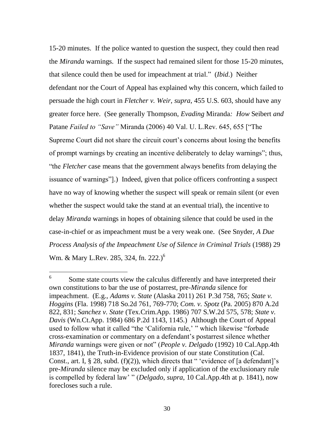15-20 minutes. If the police wanted to question the suspect, they could then read the *Miranda* warnings. If the suspect had remained silent for those 15-20 minutes, that silence could then be used for impeachment at trial.‖ (*Ibid*.) Neither defendant nor the Court of Appeal has explained why this concern, which failed to persuade the high court in *Fletcher v. Weir*, *supra*, 455 U.S. 603, should have any greater force here. (See generally Thompson, *Evading* Miranda*: How* Seibert *and*  Patane *Failed to "Save"* Miranda (2006) 40 Val. U. L.Rev. 645, 655 ["The Supreme Court did not share the circuit court's concerns about losing the benefits of prompt warnings by creating an incentive deliberately to delay warnings"; thus, "the *Fletcher* case means that the government always benefits from delaying the issuance of warnings". Indeed, given that police officers confronting a suspect have no way of knowing whether the suspect will speak or remain silent (or even whether the suspect would take the stand at an eventual trial), the incentive to delay *Miranda* warnings in hopes of obtaining silence that could be used in the case-in-chief or as impeachment must be a very weak one. (See Snyder, *A Due Process Analysis of the Impeachment Use of Silence in Criminal Trials* (1988) 29 Wm. & Mary L.Rev. 285, 324, fn. 222.)<sup>6</sup>

 $\overline{a}$ 

<sup>6</sup> Some state courts view the calculus differently and have interpreted their own constitutions to bar the use of postarrest, pre-*Miranda* silence for impeachment. (E.g., *Adams v. State* (Alaska 2011) 261 P.3d 758, 765; *State v. Hoggins* (Fla. 1998) 718 So.2d 761, 769-770; *Com. v. Spotz* (Pa. 2005) 870 A.2d 822, 831; *Sanchez v. State* (Tex.Crim.App. 1986) 707 S.W.2d 575, 578; *State v. Davis* (Wn.Ct.App. 1984) 686 P.2d 1143, 1145.) Although the Court of Appeal used to follow what it called "the 'California rule,' " which likewise "forbade cross-examination or commentary on a defendant's postarrest silence whether *Miranda* warnings were given or not" (*People v. Delgado* (1992) 10 Cal.App.4th 1837, 1841), the Truth-in-Evidence provision of our state Constitution (Cal. Const., art. I,  $\S 28$ , subd. (f)(2)), which directs that " 'evidence of [a defendant]'s pre-*Miranda* silence may be excluded only if application of the exclusionary rule is compelled by federal law' " (*Delgado*, *supra*, 10 Cal.App.4th at p. 1841), now forecloses such a rule.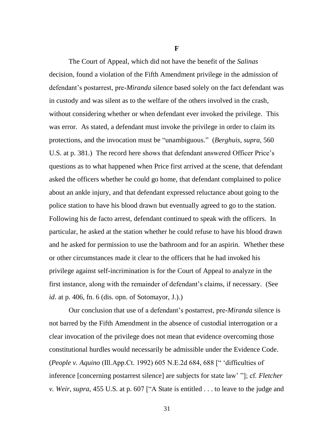**F**

The Court of Appeal, which did not have the benefit of the *Salinas* decision, found a violation of the Fifth Amendment privilege in the admission of defendant's postarrest, pre-*Miranda* silence based solely on the fact defendant was in custody and was silent as to the welfare of the others involved in the crash, without considering whether or when defendant ever invoked the privilege. This was error. As stated, a defendant must invoke the privilege in order to claim its protections, and the invocation must be "unambiguous." (*Berghuis*, *supra*, 560 U.S. at p. 381.) The record here shows that defendant answered Officer Price's questions as to what happened when Price first arrived at the scene, that defendant asked the officers whether he could go home, that defendant complained to police about an ankle injury, and that defendant expressed reluctance about going to the police station to have his blood drawn but eventually agreed to go to the station. Following his de facto arrest, defendant continued to speak with the officers. In particular, he asked at the station whether he could refuse to have his blood drawn and he asked for permission to use the bathroom and for an aspirin. Whether these or other circumstances made it clear to the officers that he had invoked his privilege against self-incrimination is for the Court of Appeal to analyze in the first instance, along with the remainder of defendant's claims, if necessary. (See *id*. at p. 406, fn. 6 (dis. opn. of Sotomayor, J.).)

Our conclusion that use of a defendant's postarrest, pre-*Miranda* silence is not barred by the Fifth Amendment in the absence of custodial interrogation or a clear invocation of the privilege does not mean that evidence overcoming those constitutional hurdles would necessarily be admissible under the Evidence Code. (*People v. Aquino* (Ill.App.Ct. 1992) 605 N.E.2d 684, 688 [" 'difficulties of inference [concerning postarrest silence] are subjects for state law' ‖]; cf. *Fletcher v. Weir, supra,* 455 U.S. at p. 607 [ A State is entitled . . . to leave to the judge and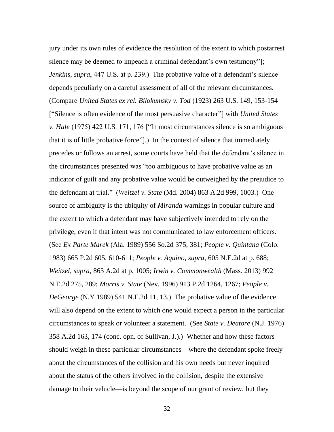jury under its own rules of evidence the resolution of the extent to which postarrest silence may be deemed to impeach a criminal defendant's own testimony"]; *Jenkins*, *supra*, 447 U.S. at p. 239.) The probative value of a defendant's silence depends peculiarly on a careful assessment of all of the relevant circumstances. (Compare *United States ex rel. Bilokumsky v. Tod* (1923) 263 U.S. 149, 153-154 [―Silence is often evidence of the most persuasive character‖] with *United States v. Hale* (1975) 422 U.S. 171, 176 ["In most circumstances silence is so ambiguous that it is of little probative force‖].) In the context of silence that immediately precedes or follows an arrest, some courts have held that the defendant's silence in the circumstances presented was "too ambiguous to have probative value as an indicator of guilt and any probative value would be outweighed by the prejudice to the defendant at trial.‖ (*Weitzel v. State* (Md. 2004) 863 A.2d 999, 1003.) One source of ambiguity is the ubiquity of *Miranda* warnings in popular culture and the extent to which a defendant may have subjectively intended to rely on the privilege, even if that intent was not communicated to law enforcement officers. (See *Ex Parte Marek* (Ala. 1989) 556 So.2d 375, 381; *People v. Quintana* (Colo. 1983) 665 P.2d 605, 610-611; *People v. Aquino*, *supra*, 605 N.E.2d at p. 688; *Weitzel*, *supra*, 863 A.2d at p. 1005; *Irwin v. Commonwealth* (Mass. 2013) 992 N.E.2d 275, 289; *Morris v. State* (Nev. 1996) 913 P.2d 1264, 1267; *People v. DeGeorge* (N.Y 1989) 541 N.E.2d 11, 13.) The probative value of the evidence will also depend on the extent to which one would expect a person in the particular circumstances to speak or volunteer a statement. (See *State v. Deatore* (N.J. 1976) 358 A.2d 163, 174 (conc. opn. of Sullivan, J.).) Whether and how these factors should weigh in these particular circumstances—where the defendant spoke freely about the circumstances of the collision and his own needs but never inquired about the status of the others involved in the collision, despite the extensive damage to their vehicle—is beyond the scope of our grant of review, but they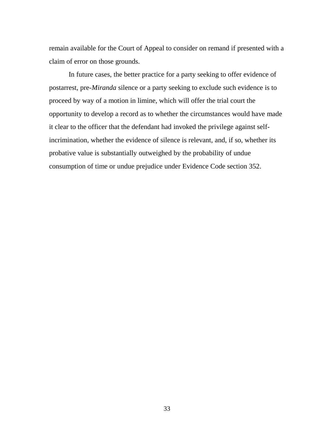remain available for the Court of Appeal to consider on remand if presented with a claim of error on those grounds.

In future cases, the better practice for a party seeking to offer evidence of postarrest, pre-*Miranda* silence or a party seeking to exclude such evidence is to proceed by way of a motion in limine, which will offer the trial court the opportunity to develop a record as to whether the circumstances would have made it clear to the officer that the defendant had invoked the privilege against selfincrimination, whether the evidence of silence is relevant, and, if so, whether its probative value is substantially outweighed by the probability of undue consumption of time or undue prejudice under Evidence Code section 352.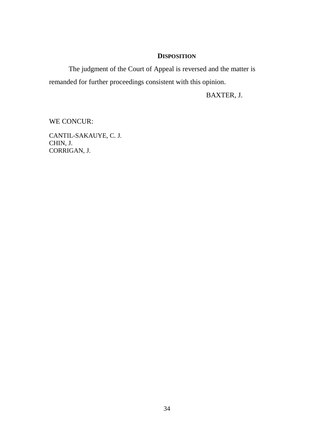## **DISPOSITION**

The judgment of the Court of Appeal is reversed and the matter is remanded for further proceedings consistent with this opinion.

BAXTER, J.

WE CONCUR:

CANTIL-SAKAUYE, C. J. CHIN, J. CORRIGAN, J.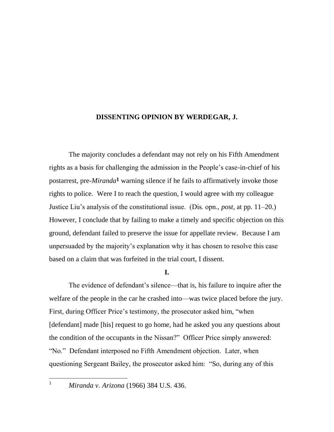## **DISSENTING OPINION BY WERDEGAR, J.**

The majority concludes a defendant may not rely on his Fifth Amendment rights as a basis for challenging the admission in the People's case-in-chief of his postarrest, pre-*Miranda***1** warning silence if he fails to affirmatively invoke those rights to police. Were I to reach the question, I would agree with my colleague Justice Liu's analysis of the constitutional issue. (Dis. opn., *post*, at pp. 11–20.) However, I conclude that by failing to make a timely and specific objection on this ground, defendant failed to preserve the issue for appellate review. Because I am unpersuaded by the majority's explanation why it has chosen to resolve this case based on a claim that was forfeited in the trial court, I dissent.

## **I.**

The evidence of defendant's silence—that is, his failure to inquire after the welfare of the people in the car he crashed into—was twice placed before the jury. First, during Officer Price's testimony, the prosecutor asked him, "when [defendant] made [his] request to go home, had he asked you any questions about the condition of the occupants in the Nissan?" Officer Price simply answered: "No." Defendant interposed no Fifth Amendment objection. Later, when questioning Sergeant Bailey, the prosecutor asked him: "So, during any of this

 $\mathbf{1}$ 

<sup>1</sup> *Miranda v. Arizona* (1966) 384 U.S. 436.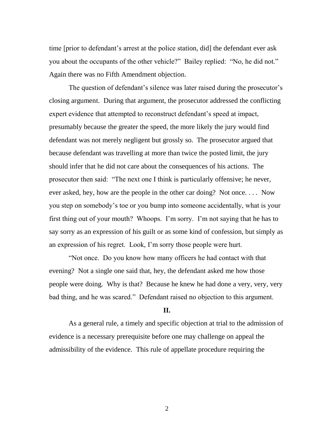time [prior to defendant's arrest at the police station, did] the defendant ever ask you about the occupants of the other vehicle?" Bailey replied: "No, he did not." Again there was no Fifth Amendment objection.

The question of defendant's silence was later raised during the prosecutor's closing argument. During that argument, the prosecutor addressed the conflicting expert evidence that attempted to reconstruct defendant's speed at impact, presumably because the greater the speed, the more likely the jury would find defendant was not merely negligent but grossly so. The prosecutor argued that because defendant was travelling at more than twice the posted limit, the jury should infer that he did not care about the consequences of his actions. The prosecutor then said: "The next one I think is particularly offensive; he never, ever asked, hey, how are the people in the other car doing? Not once. . . . Now you step on somebody's toe or you bump into someone accidentally, what is your first thing out of your mouth? Whoops. I'm sorry. I'm not saying that he has to say sorry as an expression of his guilt or as some kind of confession, but simply as an expression of his regret. Look, I'm sorry those people were hurt.

"Not once. Do you know how many officers he had contact with that evening? Not a single one said that, hey, the defendant asked me how those people were doing. Why is that? Because he knew he had done a very, very, very bad thing, and he was scared." Defendant raised no objection to this argument.

## **II.**

As a general rule, a timely and specific objection at trial to the admission of evidence is a necessary prerequisite before one may challenge on appeal the admissibility of the evidence. This rule of appellate procedure requiring the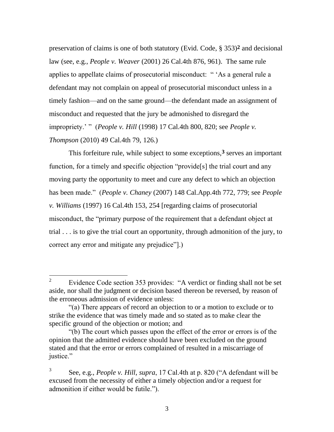preservation of claims is one of both statutory (Evid. Code, § 353)**2** and decisional law (see, e.g., *People v. Weaver* (2001) 26 Cal.4th 876, 961). The same rule applies to appellate claims of prosecutorial misconduct: " 'As a general rule a defendant may not complain on appeal of prosecutorial misconduct unless in a timely fashion—and on the same ground—the defendant made an assignment of misconduct and requested that the jury be admonished to disregard the impropriety.' " (*People v. Hill* (1998) 17 Cal.4th 800, 820; see *People v. Thompson* (2010) 49 Cal.4th 79, 126.)

This forfeiture rule, while subject to some exceptions,**3** serves an important function, for a timely and specific objection "provide<sup>[s]</sup> the trial court and any moving party the opportunity to meet and cure any defect to which an objection has been made.‖ (*People v. Chaney* (2007) 148 Cal.App.4th 772, 779; see *People v. Williams* (1997) 16 Cal.4th 153, 254 [regarding claims of prosecutorial misconduct, the "primary purpose of the requirement that a defendant object at trial . . . is to give the trial court an opportunity, through admonition of the jury, to correct any error and mitigate any prejudice".

 $\overline{a}$ 

<sup>2</sup> Evidence Code section 353 provides: "A verdict or finding shall not be set aside, nor shall the judgment or decision based thereon be reversed, by reason of the erroneous admission of evidence unless:

<sup>―(</sup>a) There appears of record an objection to or a motion to exclude or to strike the evidence that was timely made and so stated as to make clear the specific ground of the objection or motion; and

<sup>―(</sup>b) The court which passes upon the effect of the error or errors is of the opinion that the admitted evidence should have been excluded on the ground stated and that the error or errors complained of resulted in a miscarriage of justice."

<sup>3</sup> See, e.g., *People v. Hill, supra*, 17 Cal.4th at p. 820 ("A defendant will be excused from the necessity of either a timely objection and/or a request for admonition if either would be futile.").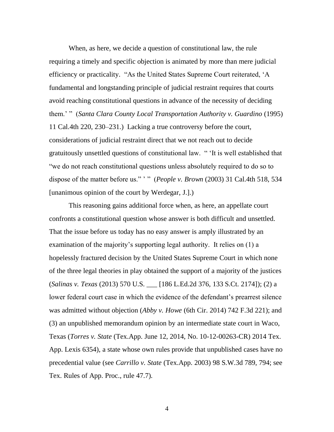When, as here, we decide a question of constitutional law, the rule requiring a timely and specific objection is animated by more than mere judicial efficiency or practicality. "As the United States Supreme Court reiterated, 'A fundamental and longstanding principle of judicial restraint requires that courts avoid reaching constitutional questions in advance of the necessity of deciding them.' " (*Santa Clara County Local Transportation Authority v. Guardino* (1995) 11 Cal.4th 220, 230–231.) Lacking a true controversy before the court, considerations of judicial restraint direct that we not reach out to decide gratuitously unsettled questions of constitutional law. "It is well established that "we do not reach constitutional questions unless absolutely required to do so to dispose of the matter before us." '" (*People v. Brown* (2003) 31 Cal.4th 518, 534 [unanimous opinion of the court by Werdegar, J.].)

This reasoning gains additional force when, as here, an appellate court confronts a constitutional question whose answer is both difficult and unsettled. That the issue before us today has no easy answer is amply illustrated by an examination of the majority's supporting legal authority. It relies on (1) a hopelessly fractured decision by the United States Supreme Court in which none of the three legal theories in play obtained the support of a majority of the justices (*Salinas v. Texas* (2013) 570 U.S. \_\_\_ [186 L.Ed.2d 376, 133 S.Ct. 2174]); (2) a lower federal court case in which the evidence of the defendant's prearrest silence was admitted without objection (*Abby v. Howe* (6th Cir. 2014) 742 F.3d 221); and (3) an unpublished memorandum opinion by an intermediate state court in Waco, Texas (*Torres v. State* (Tex.App. June 12, 2014, No. 10-12-00263-CR) 2014 Tex. App. Lexis 6354), a state whose own rules provide that unpublished cases have no precedential value (see *Carrillo v. State* (Tex.App. 2003) 98 S.W.3d 789, 794; see Tex. Rules of App. Proc., rule 47.7).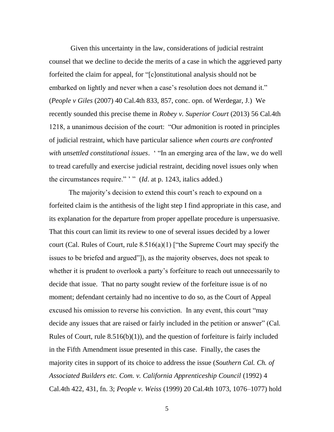Given this uncertainty in the law, considerations of judicial restraint counsel that we decline to decide the merits of a case in which the aggrieved party forfeited the claim for appeal, for "[c]onstitutional analysis should not be embarked on lightly and never when a case's resolution does not demand it." (*People v Giles* (2007) 40 Cal.4th 833, 857, conc. opn. of Werdegar, J.) We recently sounded this precise theme in *Robey v. Superior Court* (2013) 56 Cal.4th 1218, a unanimous decision of the court: "Our admonition is rooted in principles of judicial restraint, which have particular salience *when courts are confronted with unsettled constitutional issues.* "In an emerging area of the law, we do well to tread carefully and exercise judicial restraint, deciding novel issues only when the circumstances require." " (*Id.* at p. 1243, italics added.)

The majority's decision to extend this court's reach to expound on a forfeited claim is the antithesis of the light step I find appropriate in this case, and its explanation for the departure from proper appellate procedure is unpersuasive. That this court can limit its review to one of several issues decided by a lower court (Cal. Rules of Court, rule  $8.516(a)(1)$  ["the Supreme Court may specify the issues to be briefed and argued"]), as the majority observes, does not speak to whether it is prudent to overlook a party's forfeiture to reach out unnecessarily to decide that issue. That no party sought review of the forfeiture issue is of no moment; defendant certainly had no incentive to do so, as the Court of Appeal excused his omission to reverse his conviction. In any event, this court "may decide any issues that are raised or fairly included in the petition or answer" (Cal. Rules of Court, rule  $8.516(b)(1)$ , and the question of forfeiture is fairly included in the Fifth Amendment issue presented in this case. Finally, the cases the majority cites in support of its choice to address the issue (*Southern Cal. Ch. of Associated Builders etc. Com. v. California Apprenticeship Council* (1992) 4 Cal.4th 422, 431, fn. 3; *People v. Weiss* (1999) 20 Cal.4th 1073, 1076–1077) hold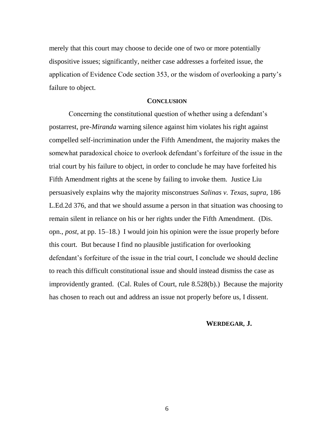merely that this court may choose to decide one of two or more potentially dispositive issues; significantly, neither case addresses a forfeited issue, the application of Evidence Code section 353, or the wisdom of overlooking a party's failure to object.

### **CONCLUSION**

Concerning the constitutional question of whether using a defendant's postarrest, pre-*Miranda* warning silence against him violates his right against compelled self-incrimination under the Fifth Amendment, the majority makes the somewhat paradoxical choice to overlook defendant's forfeiture of the issue in the trial court by his failure to object, in order to conclude he may have forfeited his Fifth Amendment rights at the scene by failing to invoke them. Justice Liu persuasively explains why the majority misconstrues *Salinas v. Texas*, *supra*, 186 L.Ed.2d 376, and that we should assume a person in that situation was choosing to remain silent in reliance on his or her rights under the Fifth Amendment. (Dis. opn., *post,* at pp. 15–18.) I would join his opinion were the issue properly before this court. But because I find no plausible justification for overlooking defendant's forfeiture of the issue in the trial court, I conclude we should decline to reach this difficult constitutional issue and should instead dismiss the case as improvidently granted. (Cal. Rules of Court, rule 8.528(b).) Because the majority has chosen to reach out and address an issue not properly before us, I dissent.

### **WERDEGAR, J.**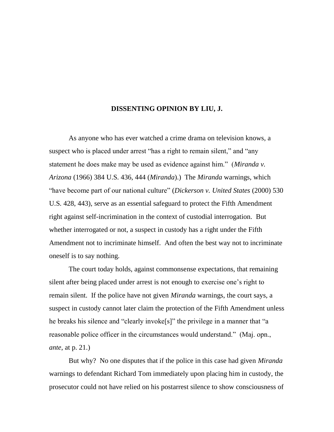## **DISSENTING OPINION BY LIU, J.**

As anyone who has ever watched a crime drama on television knows, a suspect who is placed under arrest "has a right to remain silent," and "any statement he does make may be used as evidence against him." (*Miranda v. Arizona* (1966) 384 U.S. 436, 444 (*Miranda*).) The *Miranda* warnings, which "have become part of our national culture" (*Dickerson v. United States* (2000) 530 U.S. 428, 443), serve as an essential safeguard to protect the Fifth Amendment right against self-incrimination in the context of custodial interrogation. But whether interrogated or not, a suspect in custody has a right under the Fifth Amendment not to incriminate himself. And often the best way not to incriminate oneself is to say nothing.

The court today holds, against commonsense expectations, that remaining silent after being placed under arrest is not enough to exercise one's right to remain silent. If the police have not given *Miranda* warnings, the court says, a suspect in custody cannot later claim the protection of the Fifth Amendment unless he breaks his silence and "clearly invoke[s]" the privilege in a manner that "a reasonable police officer in the circumstances would understand." (Maj. opn., *ante*, at p. 21.)

But why? No one disputes that if the police in this case had given *Miranda* warnings to defendant Richard Tom immediately upon placing him in custody, the prosecutor could not have relied on his postarrest silence to show consciousness of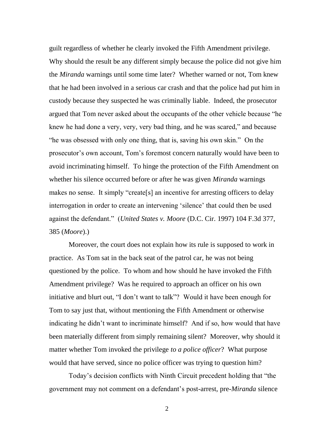guilt regardless of whether he clearly invoked the Fifth Amendment privilege. Why should the result be any different simply because the police did not give him the *Miranda* warnings until some time later? Whether warned or not, Tom knew that he had been involved in a serious car crash and that the police had put him in custody because they suspected he was criminally liable. Indeed, the prosecutor argued that Tom never asked about the occupants of the other vehicle because "he knew he had done a very, very, very bad thing, and he was scared," and because "he was obsessed with only one thing, that is, saving his own skin." On the prosecutor's own account, Tom's foremost concern naturally would have been to avoid incriminating himself. To hinge the protection of the Fifth Amendment on whether his silence occurred before or after he was given *Miranda* warnings makes no sense. It simply "create[s] an incentive for arresting officers to delay interrogation in order to create an intervening 'silence' that could then be used against the defendant.‖ (*United States v. Moore* (D.C. Cir. 1997) 104 F.3d 377, 385 (*Moore*).)

Moreover, the court does not explain how its rule is supposed to work in practice. As Tom sat in the back seat of the patrol car, he was not being questioned by the police. To whom and how should he have invoked the Fifth Amendment privilege? Was he required to approach an officer on his own initiative and blurt out, "I don't want to talk"? Would it have been enough for Tom to say just that, without mentioning the Fifth Amendment or otherwise indicating he didn't want to incriminate himself? And if so, how would that have been materially different from simply remaining silent? Moreover, why should it matter whether Tom invoked the privilege *to a police officer*? What purpose would that have served, since no police officer was trying to question him?

Today's decision conflicts with Ninth Circuit precedent holding that "the government may not comment on a defendant's post-arrest, pre-*Miranda* silence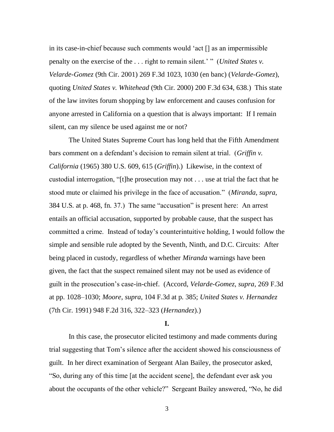in its case-in-chief because such comments would ‗act [] as an impermissible penalty on the exercise of the ... right to remain silent.' " (*United States v. Velarde-Gomez* (9th Cir. 2001) 269 F.3d 1023, 1030 (en banc) (*Velarde-Gomez*), quoting *United States v. Whitehead* (9th Cir. 2000) 200 F.3d 634, 638.) This state of the law invites forum shopping by law enforcement and causes confusion for anyone arrested in California on a question that is always important: If I remain silent, can my silence be used against me or not?

The United States Supreme Court has long held that the Fifth Amendment bars comment on a defendant's decision to remain silent at trial. (*Griffin v. California* (1965) 380 U.S. 609, 615 (*Griffin*).) Likewise, in the context of custodial interrogation, "[t]he prosecution may not  $\dots$  use at trial the fact that he stood mute or claimed his privilege in the face of accusation.‖ (*Miranda*, *supra*, 384 U.S. at p. 468, fn. 37.) The same "accusation" is present here: An arrest entails an official accusation, supported by probable cause, that the suspect has committed a crime. Instead of today's counterintuitive holding, I would follow the simple and sensible rule adopted by the Seventh, Ninth, and D.C. Circuits: After being placed in custody, regardless of whether *Miranda* warnings have been given, the fact that the suspect remained silent may not be used as evidence of guilt in the prosecution's case-in-chief. (Accord, *Velarde-Gomez*, *supra*, 269 F.3d at pp. 1028–1030; *Moore*, *supra*, 104 F.3d at p. 385; *United States v. Hernandez* (7th Cir. 1991) 948 F.2d 316, 322–323 (*Hernandez*).)

## **I.**

In this case, the prosecutor elicited testimony and made comments during trial suggesting that Tom's silence after the accident showed his consciousness of guilt. In her direct examination of Sergeant Alan Bailey, the prosecutor asked, ―So, during any of this time [at the accident scene], the defendant ever ask you about the occupants of the other vehicle?" Sergeant Bailey answered, "No, he did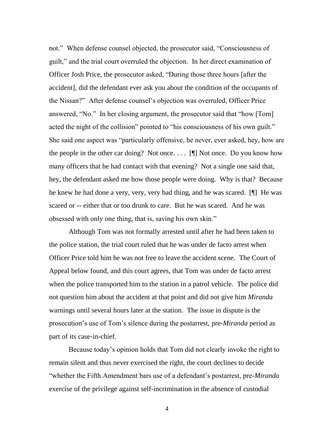not." When defense counsel objected, the prosecutor said, "Consciousness of guilt,‖ and the trial court overruled the objection. In her direct examination of Officer Josh Price, the prosecutor asked, "During those three hours [after the accident], did the defendant ever ask you about the condition of the occupants of the Nissan?‖ After defense counsel's objection was overruled, Officer Price answered, "No." In her closing argument, the prosecutor said that "how [Tom] acted the night of the collision" pointed to "his consciousness of his own guilt." She said one aspect was "particularly offensive, he never, ever asked, hey, how are the people in the other car doing? Not once....  $[\n\P$  Not once. Do you know how many officers that he had contact with that evening? Not a single one said that, hey, the defendant asked me how those people were doing. Why is that? Because he knew he had done a very, very, very bad thing, and he was scared. [¶] He was scared or -- either that or too drunk to care. But he was scared. And he was obsessed with only one thing, that is, saving his own skin."

Although Tom was not formally arrested until after he had been taken to the police station, the trial court ruled that he was under de facto arrest when Officer Price told him he was not free to leave the accident scene. The Court of Appeal below found, and this court agrees, that Tom was under de facto arrest when the police transported him to the station in a patrol vehicle. The police did not question him about the accident at that point and did not give him *Miranda* warnings until several hours later at the station. The issue in dispute is the prosecution's use of Tom's silence during the postarrest, pre-*Miranda* period as part of its case-in-chief.

Because today's opinion holds that Tom did not clearly invoke the right to remain silent and thus never exercised the right, the court declines to decide ―whether the Fifth Amendment bars use of a defendant's postarrest, pre-*Miranda* exercise of the privilege against self-incrimination in the absence of custodial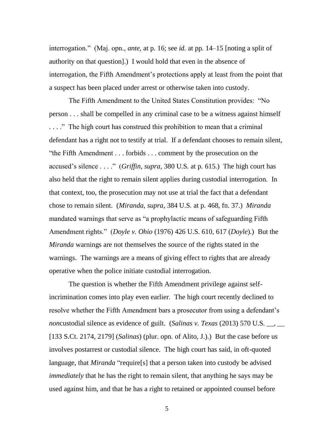interrogation.‖ (Maj. opn., *ante*, at p. 16; see *id.* at pp. 14–15 [noting a split of authority on that question].) I would hold that even in the absence of interrogation, the Fifth Amendment's protections apply at least from the point that a suspect has been placed under arrest or otherwise taken into custody.

The Fifth Amendment to the United States Constitution provides: "No person . . . shall be compelled in any criminal case to be a witness against himself ...." The high court has construed this prohibition to mean that a criminal defendant has a right not to testify at trial. If a defendant chooses to remain silent, "the Fifth Amendment  $\dots$  forbids  $\dots$  comment by the prosecution on the accused's silence . . . ." (*Griffin*, *supra*, 380 U.S. at p. 615.) The high court has also held that the right to remain silent applies during custodial interrogation. In that context, too, the prosecution may not use at trial the fact that a defendant chose to remain silent. (*Miranda*, *supra*, 384 U.S. at p. 468, fn. 37.) *Miranda* mandated warnings that serve as "a prophylactic means of safeguarding Fifth Amendment rights.‖ (*Doyle v. Ohio* (1976) 426 U.S. 610, 617 (*Doyle*).) But the *Miranda* warnings are not themselves the source of the rights stated in the warnings. The warnings are a means of giving effect to rights that are already operative when the police initiate custodial interrogation.

The question is whether the Fifth Amendment privilege against selfincrimination comes into play even earlier. The high court recently declined to resolve whether the Fifth Amendment bars a prosecutor from using a defendant's *non*custodial silence as evidence of guilt. (*Salinas v. Texas* (2013) 570 U.S. \_\_, \_\_ [133 S.Ct. 2174, 2179] (*Salinas*) (plur. opn. of Alito, J.).) But the case before us involves postarrest or custodial silence. The high court has said, in oft-quoted language, that *Miranda* "require<sup>[s]</sup> that a person taken into custody be advised *immediately* that he has the right to remain silent, that anything he says may be used against him, and that he has a right to retained or appointed counsel before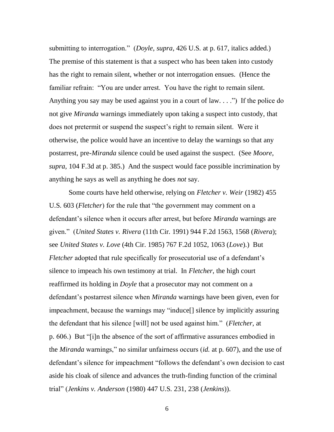submitting to interrogation." (*Doyle*, *supra*, 426 U.S. at p. 617, italics added.) The premise of this statement is that a suspect who has been taken into custody has the right to remain silent, whether or not interrogation ensues. (Hence the familiar refrain: "You are under arrest. You have the right to remain silent. Anything you say may be used against you in a court of law.  $\ldots$ ") If the police do not give *Miranda* warnings immediately upon taking a suspect into custody, that does not pretermit or suspend the suspect's right to remain silent. Were it otherwise, the police would have an incentive to delay the warnings so that any postarrest, pre-*Miranda* silence could be used against the suspect. (See *Moore*, *supra*, 104 F.3d at p. 385.) And the suspect would face possible incrimination by anything he says as well as anything he does *not* say.

Some courts have held otherwise, relying on *Fletcher v. Weir* (1982) 455 U.S. 603 (*Fletcher*) for the rule that "the government may comment on a defendant's silence when it occurs after arrest, but before *Miranda* warnings are given.‖ (*United States v. Rivera* (11th Cir. 1991) 944 F.2d 1563, 1568 (*Rivera*); see *United States v. Love* (4th Cir. 1985) 767 F.2d 1052, 1063 (*Love*).) But *Fletcher* adopted that rule specifically for prosecutorial use of a defendant's silence to impeach his own testimony at trial. In *Fletcher*, the high court reaffirmed its holding in *Doyle* that a prosecutor may not comment on a defendant's postarrest silence when *Miranda* warnings have been given, even for impeachment, because the warnings may "induce<sup>[]</sup> silence by implicitly assuring the defendant that his silence [will] not be used against him.‖ (*Fletcher*, at p. 606.) But "[i]n the absence of the sort of affirmative assurances embodied in the *Miranda* warnings," no similar unfairness occurs *(id.* at p. 607), and the use of defendant's silence for impeachment "follows the defendant's own decision to cast aside his cloak of silence and advances the truth-finding function of the criminal trial‖ (*Jenkins v. Anderson* (1980) 447 U.S. 231, 238 (*Jenkins*)).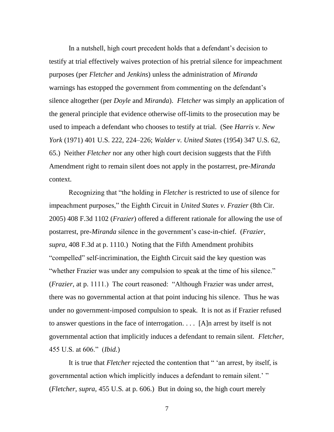In a nutshell, high court precedent holds that a defendant's decision to testify at trial effectively waives protection of his pretrial silence for impeachment purposes (per *Fletcher* and *Jenkins*) unless the administration of *Miranda* warnings has estopped the government from commenting on the defendant's silence altogether (per *Doyle* and *Miranda*). *Fletcher* was simply an application of the general principle that evidence otherwise off-limits to the prosecution may be used to impeach a defendant who chooses to testify at trial. (See *Harris v. New York* (1971) 401 U.S. 222, 224–226; *Walder v. United States* (1954) 347 U.S. 62, 65.) Neither *Fletcher* nor any other high court decision suggests that the Fifth Amendment right to remain silent does not apply in the postarrest, pre-*Miranda* context.

Recognizing that "the holding in *Fletcher* is restricted to use of silence for impeachment purposes," the Eighth Circuit in *United States v. Frazier* (8th Cir. 2005) 408 F.3d 1102 (*Frazier*) offered a different rationale for allowing the use of postarrest, pre-*Miranda* silence in the government's case-in-chief. (*Frazier*, *supra*, 408 F.3d at p. 1110.) Noting that the Fifth Amendment prohibits "compelled" self-incrimination, the Eighth Circuit said the key question was "whether Frazier was under any compulsion to speak at the time of his silence." (*Frazier*, at p. 1111.) The court reasoned: "Although Frazier was under arrest, there was no governmental action at that point inducing his silence. Thus he was under no government-imposed compulsion to speak. It is not as if Frazier refused to answer questions in the face of interrogation. . . . [A]n arrest by itself is not governmental action that implicitly induces a defendant to remain silent. *Fletcher*, 455 U.S. at 606.‖ (*Ibid.*)

It is true that *Fletcher* rejected the contention that " 'an arrest, by itself, is governmental action which implicitly induces a defendant to remain silent.' " (*Fletcher*, *supra*, 455 U.S. at p. 606.) But in doing so, the high court merely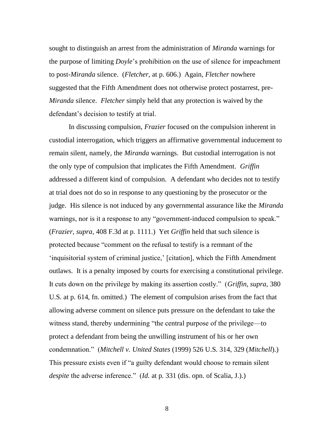sought to distinguish an arrest from the administration of *Miranda* warnings for the purpose of limiting *Doyle*'s prohibition on the use of silence for impeachment to post-*Miranda* silence. (*Fletcher*, at p. 606.) Again, *Fletcher* nowhere suggested that the Fifth Amendment does not otherwise protect postarrest, pre-*Miranda* silence. *Fletcher* simply held that any protection is waived by the defendant's decision to testify at trial.

In discussing compulsion, *Frazier* focused on the compulsion inherent in custodial interrogation, which triggers an affirmative governmental inducement to remain silent, namely, the *Miranda* warnings. But custodial interrogation is not the only type of compulsion that implicates the Fifth Amendment. *Griffin* addressed a different kind of compulsion. A defendant who decides not to testify at trial does not do so in response to any questioning by the prosecutor or the judge. His silence is not induced by any governmental assurance like the *Miranda* warnings, nor is it a response to any "government-induced compulsion to speak." (*Frazier*, *supra*, 408 F.3d at p. 1111.) Yet *Griffin* held that such silence is protected because "comment on the refusal to testify is a remnant of the ‗inquisitorial system of criminal justice,' [citation], which the Fifth Amendment outlaws. It is a penalty imposed by courts for exercising a constitutional privilege. It cuts down on the privilege by making its assertion costly.‖ (*Griffin*, *supra*, 380 U.S. at p. 614, fn. omitted.) The element of compulsion arises from the fact that allowing adverse comment on silence puts pressure on the defendant to take the witness stand, thereby undermining "the central purpose of the privilege—to protect a defendant from being the unwilling instrument of his or her own condemnation.‖ (*Mitchell v. United States* (1999) 526 U.S. 314, 329 (*Mitchell*).) This pressure exists even if "a guilty defendant would choose to remain silent *despite* the adverse inference." (*Id.* at p. 331 (dis. opn. of Scalia, J.).)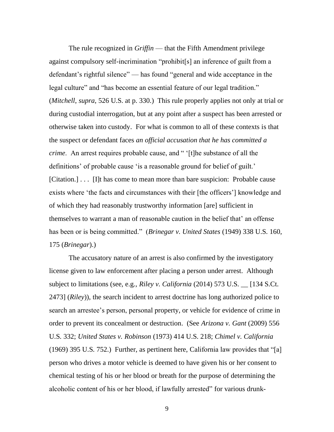The rule recognized in *Griffin* — that the Fifth Amendment privilege against compulsory self-incrimination "prohibit[s] an inference of guilt from a defendant's rightful silence" — has found "general and wide acceptance in the legal culture" and "has become an essential feature of our legal tradition." (*Mitchell*, *supra*, 526 U.S. at p. 330.) This rule properly applies not only at trial or during custodial interrogation, but at any point after a suspect has been arrested or otherwise taken into custody. For what is common to all of these contexts is that the suspect or defendant faces *an official accusation that he has committed a crime*. An arrest requires probable cause, and " '[t]he substance of all the definitions' of probable cause 'is a reasonable ground for belief of guilt.' [Citation.] . . . [I]t has come to mean more than bare suspicion: Probable cause exists where 'the facts and circumstances with their [the officers'] knowledge and of which they had reasonably trustworthy information [are] sufficient in themselves to warrant a man of reasonable caution in the belief that' an offense has been or is being committed." (*Brinegar v. United States* (1949) 338 U.S. 160, 175 (*Brinegar*).)

The accusatory nature of an arrest is also confirmed by the investigatory license given to law enforcement after placing a person under arrest. Although subject to limitations (see, e.g., *Riley v. California* (2014) 573 U.S. \_\_ [134 S.Ct. 2473] (*Riley*)), the search incident to arrest doctrine has long authorized police to search an arrestee's person, personal property, or vehicle for evidence of crime in order to prevent its concealment or destruction. (See *Arizona v. Gant* (2009) 556 U.S. 332; *United States v. Robinson* (1973) 414 U.S. 218; *Chimel v. California*  $(1969)$  395 U.S. 752.) Further, as pertinent here, California law provides that "[a] person who drives a motor vehicle is deemed to have given his or her consent to chemical testing of his or her blood or breath for the purpose of determining the alcoholic content of his or her blood, if lawfully arrested" for various drunk-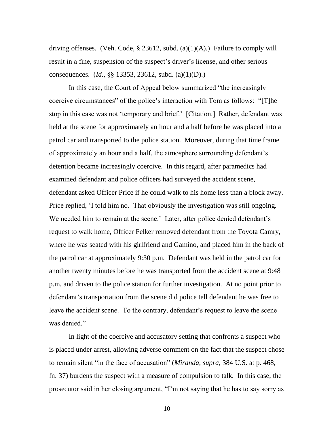driving offenses. (Veh. Code, § 23612, subd. (a)(1)(A).) Failure to comply will result in a fine, suspension of the suspect's driver's license, and other serious consequences. (*Id.*, §§ 13353, 23612, subd. (a)(1)(D).)

In this case, the Court of Appeal below summarized "the increasingly coercive circumstances" of the police's interaction with Tom as follows: "[T]he stop in this case was not 'temporary and brief.' [Citation.] Rather, defendant was held at the scene for approximately an hour and a half before he was placed into a patrol car and transported to the police station. Moreover, during that time frame of approximately an hour and a half, the atmosphere surrounding defendant's detention became increasingly coercive. In this regard, after paramedics had examined defendant and police officers had surveyed the accident scene, defendant asked Officer Price if he could walk to his home less than a block away. Price replied, 'I told him no. That obviously the investigation was still ongoing. We needed him to remain at the scene.' Later, after police denied defendant's request to walk home, Officer Felker removed defendant from the Toyota Camry, where he was seated with his girlfriend and Gamino, and placed him in the back of the patrol car at approximately 9:30 p.m. Defendant was held in the patrol car for another twenty minutes before he was transported from the accident scene at 9:48 p.m. and driven to the police station for further investigation. At no point prior to defendant's transportation from the scene did police tell defendant he was free to leave the accident scene. To the contrary, defendant's request to leave the scene was denied."

In light of the coercive and accusatory setting that confronts a suspect who is placed under arrest, allowing adverse comment on the fact that the suspect chose to remain silent "in the face of accusation" (*Miranda, supra,* 384 U.S. at p. 468, fn. 37) burdens the suspect with a measure of compulsion to talk. In this case, the prosecutor said in her closing argument, "I'm not saying that he has to say sorry as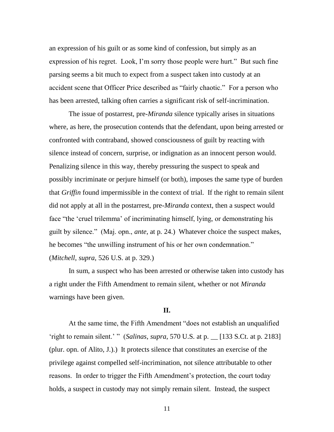an expression of his guilt or as some kind of confession, but simply as an expression of his regret. Look, I'm sorry those people were hurt." But such fine parsing seems a bit much to expect from a suspect taken into custody at an accident scene that Officer Price described as "fairly chaotic." For a person who has been arrested, talking often carries a significant risk of self-incrimination.

The issue of postarrest, pre-*Miranda* silence typically arises in situations where, as here, the prosecution contends that the defendant, upon being arrested or confronted with contraband, showed consciousness of guilt by reacting with silence instead of concern, surprise, or indignation as an innocent person would. Penalizing silence in this way, thereby pressuring the suspect to speak and possibly incriminate or perjure himself (or both), imposes the same type of burden that *Griffin* found impermissible in the context of trial. If the right to remain silent did not apply at all in the postarrest, pre-*Miranda* context, then a suspect would face "the 'cruel trilemma' of incriminating himself, lying, or demonstrating his guilt by silence.‖ (Maj. opn., *ante*, at p. 24.) Whatever choice the suspect makes, he becomes "the unwilling instrument of his or her own condemnation." (*Mitchell*, *supra*, 526 U.S. at p. 329.)

In sum, a suspect who has been arrested or otherwise taken into custody has a right under the Fifth Amendment to remain silent, whether or not *Miranda* warnings have been given.

### **II.**

At the same time, the Fifth Amendment "does not establish an unqualified ‗right to remain silent.' ‖ (*Salinas*, *supra*, 570 U.S. at p. \_\_ [133 S.Ct. at p. 2183] (plur. opn. of Alito, J.).) It protects silence that constitutes an exercise of the privilege against compelled self-incrimination, not silence attributable to other reasons. In order to trigger the Fifth Amendment's protection, the court today holds, a suspect in custody may not simply remain silent. Instead, the suspect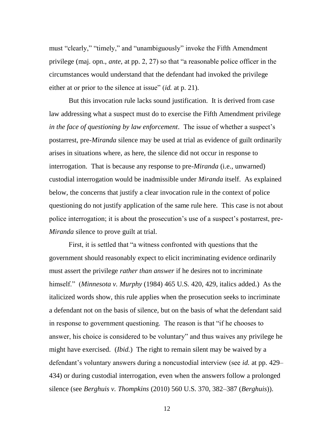must "clearly," "timely," and "unambiguously" invoke the Fifth Amendment privilege (maj. opn., *ante*, at pp. 2, 27) so that "a reasonable police officer in the circumstances would understand that the defendant had invoked the privilege either at or prior to the silence at issue" *(id.* at p. 21).

But this invocation rule lacks sound justification. It is derived from case law addressing what a suspect must do to exercise the Fifth Amendment privilege *in the face of questioning by law enforcement*. The issue of whether a suspect's postarrest, pre-*Miranda* silence may be used at trial as evidence of guilt ordinarily arises in situations where, as here, the silence did not occur in response to interrogation. That is because any response to pre-*Miranda* (i.e., unwarned) custodial interrogation would be inadmissible under *Miranda* itself. As explained below, the concerns that justify a clear invocation rule in the context of police questioning do not justify application of the same rule here. This case is not about police interrogation; it is about the prosecution's use of a suspect's postarrest, pre-*Miranda* silence to prove guilt at trial.

First, it is settled that "a witness confronted with questions that the government should reasonably expect to elicit incriminating evidence ordinarily must assert the privilege *rather than answer* if he desires not to incriminate himself." (*Minnesota v. Murphy* (1984) 465 U.S. 420, 429, italics added.) As the italicized words show, this rule applies when the prosecution seeks to incriminate a defendant not on the basis of silence, but on the basis of what the defendant said in response to government questioning. The reason is that "if he chooses to answer, his choice is considered to be voluntary" and thus waives any privilege he might have exercised. (*Ibid.*) The right to remain silent may be waived by a defendant's voluntary answers during a noncustodial interview (see *id.* at pp. 429– 434) or during custodial interrogation, even when the answers follow a prolonged silence (see *Berghuis v. Thompkins* (2010) 560 U.S. 370, 382–387 (*Berghuis*)).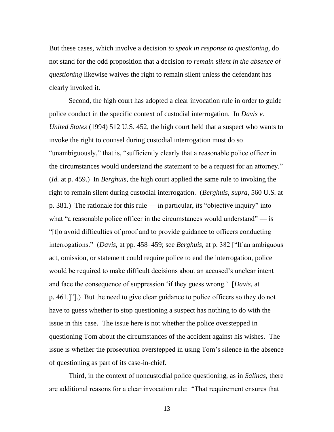But these cases, which involve a decision *to speak in response to questioning*, do not stand for the odd proposition that a decision *to remain silent in the absence of questioning* likewise waives the right to remain silent unless the defendant has clearly invoked it.

Second, the high court has adopted a clear invocation rule in order to guide police conduct in the specific context of custodial interrogation. In *Davis v. United States* (1994) 512 U.S. 452, the high court held that a suspect who wants to invoke the right to counsel during custodial interrogation must do so "unambiguously," that is, "sufficiently clearly that a reasonable police officer in the circumstances would understand the statement to be a request for an attorney." (*Id.* at p. 459.) In *Berghuis*, the high court applied the same rule to invoking the right to remain silent during custodial interrogation. (*Berghuis*, *supra*, 560 U.S. at p. 381.) The rationale for this rule — in particular, its "objective inquiry" into what "a reasonable police officer in the circumstances would understand"  $-$  is ―[t]o avoid difficulties of proof and to provide guidance to officers conducting interrogations." (*Davis*, at pp. 458–459; see *Berghuis*, at p. 382 ["If an ambiguous act, omission, or statement could require police to end the interrogation, police would be required to make difficult decisions about an accused's unclear intent and face the consequence of suppression 'if they guess wrong.' [*Davis*, at p. 461.]"].) But the need to give clear guidance to police officers so they do not have to guess whether to stop questioning a suspect has nothing to do with the issue in this case. The issue here is not whether the police overstepped in questioning Tom about the circumstances of the accident against his wishes. The issue is whether the prosecution overstepped in using Tom's silence in the absence of questioning as part of its case-in-chief.

Third, in the context of noncustodial police questioning, as in *Salinas*, there are additional reasons for a clear invocation rule: "That requirement ensures that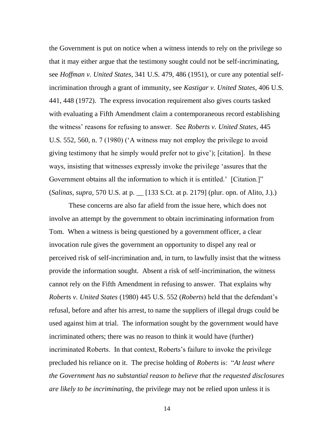the Government is put on notice when a witness intends to rely on the privilege so that it may either argue that the testimony sought could not be self-incriminating, see *Hoffman v. United States*, 341 U.S. 479, 486 (1951), or cure any potential selfincrimination through a grant of immunity, see *Kastigar v. United States*, 406 U.S. 441, 448 (1972). The express invocation requirement also gives courts tasked with evaluating a Fifth Amendment claim a contemporaneous record establishing the witness' reasons for refusing to answer. See *Roberts v. United States*, 445 U.S. 552, 560, n. 7 (1980) ( $\overline{A}$  witness may not employ the privilege to avoid giving testimony that he simply would prefer not to give'); [citation]. In these ways, insisting that witnesses expressly invoke the privilege 'assures that the Government obtains all the information to which it is entitled.' [Citation.]" (*Salinas*, *supra*, 570 U.S. at p. \_\_ [133 S.Ct. at p. 2179] (plur. opn. of Alito, J.).)

These concerns are also far afield from the issue here, which does not involve an attempt by the government to obtain incriminating information from Tom. When a witness is being questioned by a government officer, a clear invocation rule gives the government an opportunity to dispel any real or perceived risk of self-incrimination and, in turn, to lawfully insist that the witness provide the information sought. Absent a risk of self-incrimination, the witness cannot rely on the Fifth Amendment in refusing to answer. That explains why *Roberts v. United States* (1980) 445 U.S. 552 (*Roberts*) held that the defendant's refusal, before and after his arrest, to name the suppliers of illegal drugs could be used against him at trial. The information sought by the government would have incriminated others; there was no reason to think it would have (further) incriminated Roberts. In that context, Roberts's failure to invoke the privilege precluded his reliance on it. The precise holding of *Roberts* is: "At least where *the Government has no substantial reason to believe that the requested disclosures are likely to be incriminating*, the privilege may not be relied upon unless it is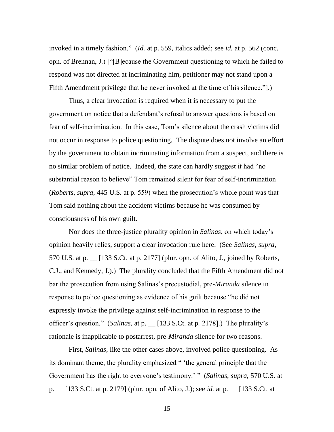invoked in a timely fashion." (*Id.* at p. 559, italics added; see *id.* at p. 562 (conc. opn. of Brennan, J.) ["[B]ecause the Government questioning to which he failed to respond was not directed at incriminating him, petitioner may not stand upon a Fifth Amendment privilege that he never invoked at the time of his silence."...

Thus, a clear invocation is required when it is necessary to put the government on notice that a defendant's refusal to answer questions is based on fear of self-incrimination. In this case, Tom's silence about the crash victims did not occur in response to police questioning. The dispute does not involve an effort by the government to obtain incriminating information from a suspect, and there is no similar problem of notice. Indeed, the state can hardly suggest it had "no substantial reason to believe" Tom remained silent for fear of self-incrimination (*Roberts*, *supra*, 445 U.S. at p. 559) when the prosecution's whole point was that Tom said nothing about the accident victims because he was consumed by consciousness of his own guilt.

Nor does the three-justice plurality opinion in *Salinas*, on which today's opinion heavily relies, support a clear invocation rule here. (See *Salinas*, *supra*, 570 U.S. at p. \_\_ [133 S.Ct. at p. 2177] (plur. opn. of Alito, J., joined by Roberts, C.J., and Kennedy, J.).) The plurality concluded that the Fifth Amendment did not bar the prosecution from using Salinas's precustodial, pre-*Miranda* silence in response to police questioning as evidence of his guilt because "he did not expressly invoke the privilege against self-incrimination in response to the officer's question.‖ (*Salinas*, at p. \_\_ [133 S.Ct. at p. 2178].) The plurality's rationale is inapplicable to postarrest, pre-*Miranda* silence for two reasons.

First, *Salinas*, like the other cases above, involved police questioning. As its dominant theme, the plurality emphasized " 'the general principle that the Government has the right to everyone's testimony.' " (*Salinas*, *supra*, 570 U.S. at p. \_\_ [133 S.Ct. at p. 2179] (plur. opn. of Alito, J.); see *id.* at p. \_\_ [133 S.Ct. at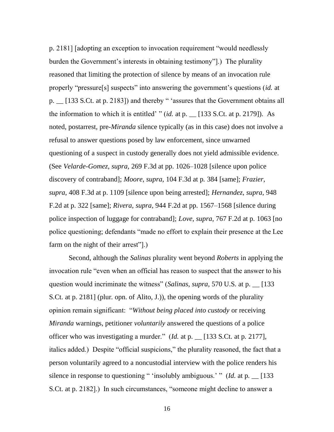p. 2181] [adopting an exception to invocation requirement "would needlessly burden the Government's interests in obtaining testimony"...) The plurality reasoned that limiting the protection of silence by means of an invocation rule properly "pressure[s] suspects" into answering the government's questions (*id.* at p. \_ [133 S.Ct. at p. 2183]) and thereby " 'assures that the Government obtains all the information to which it is entitled' " $(id.$  at p.  $\Box$  [133 S.Ct. at p. 2179]). As noted, postarrest, pre-*Miranda* silence typically (as in this case) does not involve a refusal to answer questions posed by law enforcement, since unwarned questioning of a suspect in custody generally does not yield admissible evidence. (See *Velarde-Gomez*, *supra*, 269 F.3d at pp. 1026–1028 [silence upon police discovery of contraband]; *Moore*, *supra*, 104 F.3d at p. 384 [same]; *Frazier*, *supra*, 408 F.3d at p. 1109 [silence upon being arrested]; *Hernandez*, *supra*, 948 F.2d at p. 322 [same]; *Rivera*, *supra*, 944 F.2d at pp. 1567–1568 [silence during police inspection of luggage for contraband]; *Love*, *supra*, 767 F.2d at p. 1063 [no police questioning; defendants "made no effort to explain their presence at the Lee farm on the night of their arrest"...

Second, although the *Salinas* plurality went beyond *Roberts* in applying the invocation rule "even when an official has reason to suspect that the answer to his question would incriminate the witness" (*Salinas*, *supra*, 570 U.S. at p.  $\qquad$  [133] S.Ct. at p. 2181] (plur. opn. of Alito, J.)), the opening words of the plurality opinion remain significant: ―*Without being placed into custody* or receiving *Miranda* warnings, petitioner *voluntarily* answered the questions of a police officer who was investigating a murder.‖ (*Id.* at p. \_\_ [133 S.Ct. at p. 2177], italics added.) Despite "official suspicions," the plurality reasoned, the fact that a person voluntarily agreed to a noncustodial interview with the police renders his silence in response to questioning " 'insolubly ambiguous.' " (*Id.* at p.  $\Box$  [133] S.Ct. at p. 2182].) In such circumstances, "someone might decline to answer a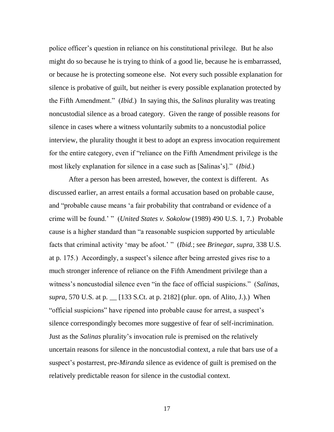police officer's question in reliance on his constitutional privilege. But he also might do so because he is trying to think of a good lie, because he is embarrassed, or because he is protecting someone else. Not every such possible explanation for silence is probative of guilt, but neither is every possible explanation protected by the Fifth Amendment.‖ (*Ibid.*) In saying this, the *Salinas* plurality was treating noncustodial silence as a broad category. Given the range of possible reasons for silence in cases where a witness voluntarily submits to a noncustodial police interview, the plurality thought it best to adopt an express invocation requirement for the entire category, even if "reliance on the Fifth Amendment privilege is the most likely explanation for silence in a case such as [Salinas's]." *(Ibid.)* 

After a person has been arrested, however, the context is different. As discussed earlier, an arrest entails a formal accusation based on probable cause, and "probable cause means 'a fair probability that contraband or evidence of a crime will be found.' " (*United States v. Sokolow* (1989) 490 U.S. 1, 7.) Probable cause is a higher standard than "a reasonable suspicion supported by articulable facts that criminal activity 'may be afoot.' " (*Ibid.*; see *Brinegar*, *supra*, 338 U.S. at p. 175.) Accordingly, a suspect's silence after being arrested gives rise to a much stronger inference of reliance on the Fifth Amendment privilege than a witness's noncustodial silence even "in the face of official suspicions." (*Salinas*, *supra*, 570 U.S. at p. \_\_ [133 S.Ct. at p. 2182] (plur. opn. of Alito, J.).) When "official suspicions" have ripened into probable cause for arrest, a suspect's silence correspondingly becomes more suggestive of fear of self-incrimination. Just as the *Salinas* plurality's invocation rule is premised on the relatively uncertain reasons for silence in the noncustodial context, a rule that bars use of a suspect's postarrest, pre-*Miranda* silence as evidence of guilt is premised on the relatively predictable reason for silence in the custodial context.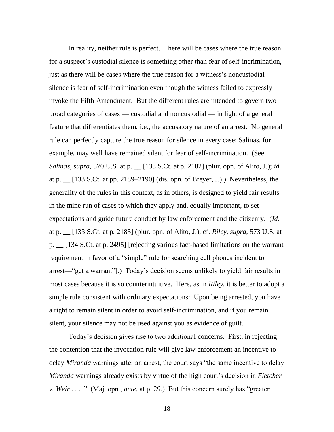In reality, neither rule is perfect. There will be cases where the true reason for a suspect's custodial silence is something other than fear of self-incrimination, just as there will be cases where the true reason for a witness's noncustodial silence is fear of self-incrimination even though the witness failed to expressly invoke the Fifth Amendment. But the different rules are intended to govern two broad categories of cases — custodial and noncustodial — in light of a general feature that differentiates them, i.e., the accusatory nature of an arrest. No general rule can perfectly capture the true reason for silence in every case; Salinas, for example, may well have remained silent for fear of self-incrimination. (See *Salinas*, *supra*, 570 U.S. at p. \_\_ [133 S.Ct. at p. 2182] (plur. opn. of Alito, J.); *id.* at p. \_\_ [133 S.Ct. at pp. 2189–2190] (dis. opn. of Breyer, J.).) Nevertheless, the generality of the rules in this context, as in others, is designed to yield fair results in the mine run of cases to which they apply and, equally important, to set expectations and guide future conduct by law enforcement and the citizenry. (*Id.* at p. \_\_ [133 S.Ct. at p. 2183] (plur. opn. of Alito, J.); cf. *Riley*, *supra*, 573 U.S. at p. \_\_ [134 S.Ct. at p. 2495] [rejecting various fact-based limitations on the warrant requirement in favor of a "simple" rule for searching cell phones incident to arrest—"get a warrant"].) Today's decision seems unlikely to yield fair results in most cases because it is so counterintuitive. Here, as in *Riley*, it is better to adopt a simple rule consistent with ordinary expectations: Upon being arrested, you have a right to remain silent in order to avoid self-incrimination, and if you remain silent, your silence may not be used against you as evidence of guilt.

Today's decision gives rise to two additional concerns. First, in rejecting the contention that the invocation rule will give law enforcement an incentive to delay *Miranda* warnings after an arrest, the court says "the same incentive to delay *Miranda* warnings already exists by virtue of the high court's decision in *Fletcher v. Weir* . . . ." (Maj. opn., *ante*, at p. 29.) But this concern surely has "greater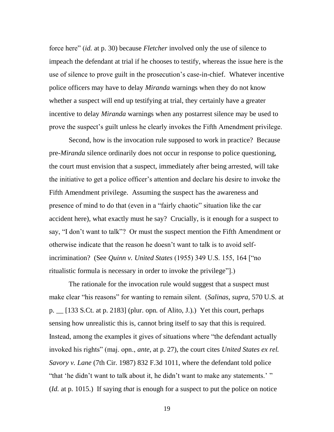force here" *(id.* at p. 30) because *Fletcher* involved only the use of silence to impeach the defendant at trial if he chooses to testify, whereas the issue here is the use of silence to prove guilt in the prosecution's case-in-chief. Whatever incentive police officers may have to delay *Miranda* warnings when they do not know whether a suspect will end up testifying at trial, they certainly have a greater incentive to delay *Miranda* warnings when any postarrest silence may be used to prove the suspect's guilt unless he clearly invokes the Fifth Amendment privilege.

Second, how is the invocation rule supposed to work in practice? Because pre-*Miranda* silence ordinarily does not occur in response to police questioning, the court must envision that a suspect, immediately after being arrested, will take the initiative to get a police officer's attention and declare his desire to invoke the Fifth Amendment privilege. Assuming the suspect has the awareness and presence of mind to do that (even in a "fairly chaotic" situation like the car accident here), what exactly must he say? Crucially, is it enough for a suspect to say, "I don't want to talk"? Or must the suspect mention the Fifth Amendment or otherwise indicate that the reason he doesn't want to talk is to avoid selfincrimination? (See *Quinn v. United States* (1955) 349 U.S. 155, 164 ["no ritualistic formula is necessary in order to invoke the privilege".

The rationale for the invocation rule would suggest that a suspect must make clear "his reasons" for wanting to remain silent. (*Salinas*, *supra*, 570 U.S. at p. \_\_ [133 S.Ct. at p. 2183] (plur. opn. of Alito, J.).) Yet this court, perhaps sensing how unrealistic this is, cannot bring itself to say that this is required. Instead, among the examples it gives of situations where "the defendant actually invoked his rights" (maj. opn., *ante*, at p. 27), the court cites *United States ex rel. Savory v. Lane* (7th Cir. 1987) 832 F.3d 1011, where the defendant told police "that 'he didn't want to talk about it, he didn't want to make any statements.' " (*Id.* at p. 1015.) If saying *that* is enough for a suspect to put the police on notice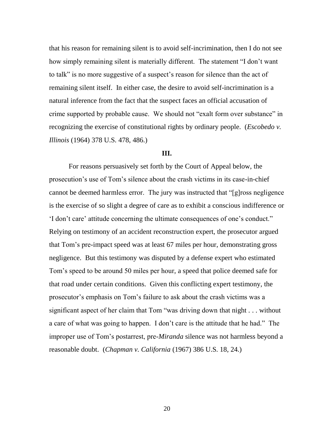that his reason for remaining silent is to avoid self-incrimination, then I do not see how simply remaining silent is materially different. The statement "I don't want to talk" is no more suggestive of a suspect's reason for silence than the act of remaining silent itself. In either case, the desire to avoid self-incrimination is a natural inference from the fact that the suspect faces an official accusation of crime supported by probable cause. We should not "exalt form over substance" in recognizing the exercise of constitutional rights by ordinary people. (*Escobedo v. Illinois* (1964) 378 U.S. 478, 486.)

## **III.**

For reasons persuasively set forth by the Court of Appeal below, the prosecution's use of Tom's silence about the crash victims in its case-in-chief cannot be deemed harmless error. The jury was instructed that "[g]ross negligence is the exercise of so slight a degree of care as to exhibit a conscious indifference or ‗I don't care' attitude concerning the ultimate consequences of one's conduct.‖ Relying on testimony of an accident reconstruction expert, the prosecutor argued that Tom's pre-impact speed was at least 67 miles per hour, demonstrating gross negligence. But this testimony was disputed by a defense expert who estimated Tom's speed to be around 50 miles per hour, a speed that police deemed safe for that road under certain conditions. Given this conflicting expert testimony, the prosecutor's emphasis on Tom's failure to ask about the crash victims was a significant aspect of her claim that Tom "was driving down that  $night$ ... without a care of what was going to happen. I don't care is the attitude that he had." The improper use of Tom's postarrest, pre-*Miranda* silence was not harmless beyond a reasonable doubt. (*Chapman v. California* (1967) 386 U.S. 18, 24.)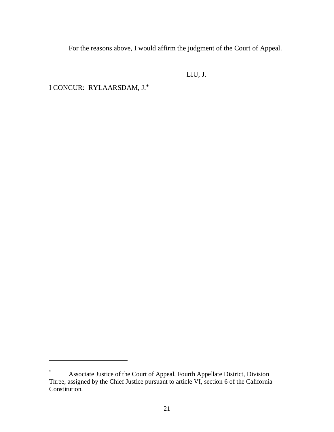For the reasons above, I would affirm the judgment of the Court of Appeal.

LIU, J.

I CONCUR: RYLAARSDAM, J.**\***

 $\overline{a}$ 

Associate Justice of the Court of Appeal, Fourth Appellate District, Division Three, assigned by the Chief Justice pursuant to article VI, section 6 of the California Constitution.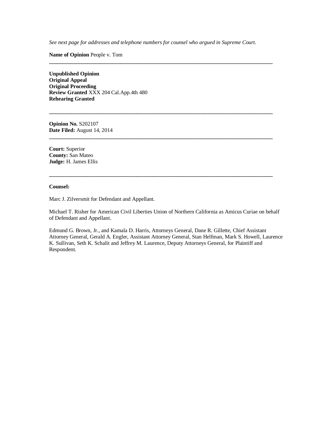*See next page for addresses and telephone numbers for counsel who argued in Supreme Court.*

**\_\_\_\_\_\_\_\_\_\_\_\_\_\_\_\_\_\_\_\_\_\_\_\_\_\_\_\_\_\_\_\_\_\_\_\_\_\_\_\_\_\_\_\_\_\_\_\_\_\_\_\_\_\_\_\_\_\_\_\_\_\_\_\_\_\_\_\_\_\_\_\_\_\_\_\_\_\_\_\_\_\_**

**\_\_\_\_\_\_\_\_\_\_\_\_\_\_\_\_\_\_\_\_\_\_\_\_\_\_\_\_\_\_\_\_\_\_\_\_\_\_\_\_\_\_\_\_\_\_\_\_\_\_\_\_\_\_\_\_\_\_\_\_\_\_\_\_\_\_\_\_\_\_\_\_\_\_\_\_\_\_\_\_\_\_**

**\_\_\_\_\_\_\_\_\_\_\_\_\_\_\_\_\_\_\_\_\_\_\_\_\_\_\_\_\_\_\_\_\_\_\_\_\_\_\_\_\_\_\_\_\_\_\_\_\_\_\_\_\_\_\_\_\_\_\_\_\_\_\_\_\_\_\_\_\_\_\_\_\_\_\_\_\_\_\_\_\_\_**

**\_\_\_\_\_\_\_\_\_\_\_\_\_\_\_\_\_\_\_\_\_\_\_\_\_\_\_\_\_\_\_\_\_\_\_\_\_\_\_\_\_\_\_\_\_\_\_\_\_\_\_\_\_\_\_\_\_\_\_\_\_\_\_\_\_\_\_\_\_\_\_\_\_\_\_\_\_\_\_\_\_\_**

**Name of Opinion** People v. Tom

**Unpublished Opinion Original Appeal Original Proceeding Review Granted** XXX 204 Cal.App.4th 480 **Rehearing Granted**

**Opinion No.** S202107 **Date Filed:** August 14, 2014

**Court:** Superior **County:** San Mateo **Judge:** H. James Ellis

#### **Counsel:**

Marc J. Zilversmit for Defendant and Appellant.

Michael T. Risher for American Civil Liberties Union of Northern California as Amicus Curiae on behalf of Defendant and Appellant.

Edmund G. Brown, Jr., and Kamala D. Harris, Attorneys General, Dane R. Gillette, Chief Assistant Attorney General, Gerald A. Engler, Assistant Attorney General, Stan Helfman, Mark S. Howell, Laurence K. Sullivan, Seth K. Schalit and Jeffrey M. Laurence, Deputy Attorneys General, for Plaintiff and Respondent.